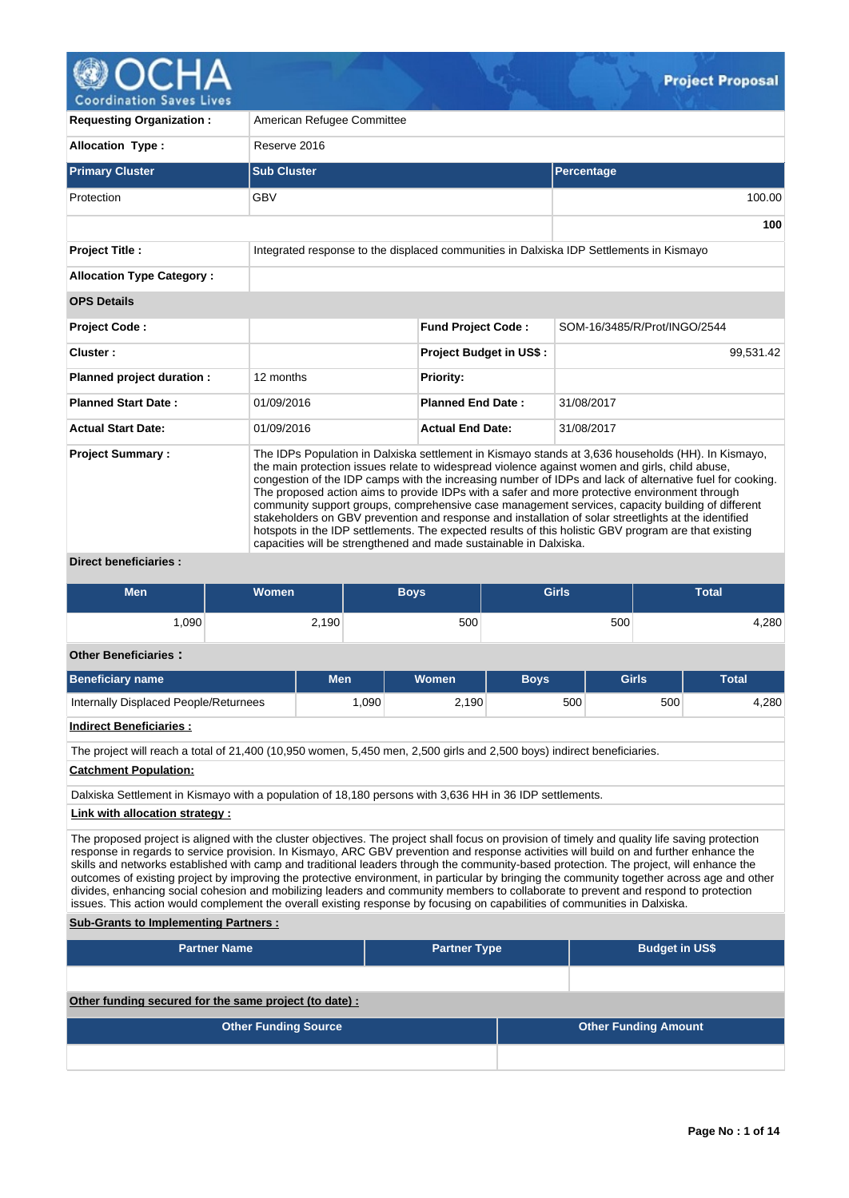

**Coordination Saves Lives** 

| <b>Requesting Organization:</b>  | American Refugee Committee                                                              |                                                                                                                                                                                                                                                                                                                                                                                                                                                                                                                                                                                                                                                                                                                                       |                              |  |  |  |  |  |  |  |
|----------------------------------|-----------------------------------------------------------------------------------------|---------------------------------------------------------------------------------------------------------------------------------------------------------------------------------------------------------------------------------------------------------------------------------------------------------------------------------------------------------------------------------------------------------------------------------------------------------------------------------------------------------------------------------------------------------------------------------------------------------------------------------------------------------------------------------------------------------------------------------------|------------------------------|--|--|--|--|--|--|--|
| <b>Allocation Type:</b>          | Reserve 2016                                                                            |                                                                                                                                                                                                                                                                                                                                                                                                                                                                                                                                                                                                                                                                                                                                       |                              |  |  |  |  |  |  |  |
| <b>Primary Cluster</b>           | <b>Sub Cluster</b>                                                                      |                                                                                                                                                                                                                                                                                                                                                                                                                                                                                                                                                                                                                                                                                                                                       | Percentage                   |  |  |  |  |  |  |  |
| Protection                       | <b>GBV</b>                                                                              |                                                                                                                                                                                                                                                                                                                                                                                                                                                                                                                                                                                                                                                                                                                                       | 100.00                       |  |  |  |  |  |  |  |
|                                  |                                                                                         |                                                                                                                                                                                                                                                                                                                                                                                                                                                                                                                                                                                                                                                                                                                                       | 100                          |  |  |  |  |  |  |  |
| <b>Project Title:</b>            | Integrated response to the displaced communities in Dalxiska IDP Settlements in Kismayo |                                                                                                                                                                                                                                                                                                                                                                                                                                                                                                                                                                                                                                                                                                                                       |                              |  |  |  |  |  |  |  |
| <b>Allocation Type Category:</b> |                                                                                         |                                                                                                                                                                                                                                                                                                                                                                                                                                                                                                                                                                                                                                                                                                                                       |                              |  |  |  |  |  |  |  |
| <b>OPS Details</b>               |                                                                                         |                                                                                                                                                                                                                                                                                                                                                                                                                                                                                                                                                                                                                                                                                                                                       |                              |  |  |  |  |  |  |  |
| <b>Project Code:</b>             |                                                                                         | <b>Fund Project Code:</b>                                                                                                                                                                                                                                                                                                                                                                                                                                                                                                                                                                                                                                                                                                             | SOM-16/3485/R/Prot/INGO/2544 |  |  |  |  |  |  |  |
| Cluster:                         |                                                                                         | <b>Project Budget in US\$:</b>                                                                                                                                                                                                                                                                                                                                                                                                                                                                                                                                                                                                                                                                                                        | 99.531.42                    |  |  |  |  |  |  |  |
| Planned project duration :       | 12 months                                                                               | <b>Priority:</b>                                                                                                                                                                                                                                                                                                                                                                                                                                                                                                                                                                                                                                                                                                                      |                              |  |  |  |  |  |  |  |
| <b>Planned Start Date:</b>       | 01/09/2016                                                                              | <b>Planned End Date:</b>                                                                                                                                                                                                                                                                                                                                                                                                                                                                                                                                                                                                                                                                                                              | 31/08/2017                   |  |  |  |  |  |  |  |
| <b>Actual Start Date:</b>        | 01/09/2016                                                                              | <b>Actual End Date:</b>                                                                                                                                                                                                                                                                                                                                                                                                                                                                                                                                                                                                                                                                                                               | 31/08/2017                   |  |  |  |  |  |  |  |
| <b>Project Summary:</b>          | capacities will be strengthened and made sustainable in Dalxiska.                       | The IDPs Population in Dalxiska settlement in Kismayo stands at 3,636 households (HH). In Kismayo,<br>the main protection issues relate to widespread violence against women and girls, child abuse,<br>congestion of the IDP camps with the increasing number of IDPs and lack of alternative fuel for cooking.<br>The proposed action aims to provide IDPs with a safer and more protective environment through<br>community support groups, comprehensive case management services, capacity building of different<br>stakeholders on GBV prevention and response and installation of solar streetlights at the identified<br>hotspots in the IDP settlements. The expected results of this holistic GBV program are that existing |                              |  |  |  |  |  |  |  |

**Direct beneficiaries :**

| Men  | Women | <b>Boys</b> | <b>Girls</b> | <b>Total</b> |  |  |
|------|-------|-------------|--------------|--------------|--|--|
| ,090 | 2,190 | 500         | 500          | 4,280        |  |  |

# **Other Beneficiaries :**

| <b>Beneficiary name</b>               | Men  | <b>Women</b> | <b>Bovs</b> | <b>Girls</b> | <b>Total</b> |
|---------------------------------------|------|--------------|-------------|--------------|--------------|
| Internally Displaced People/Returnees | .090 | 2,190        | 500         | 500          | 4,280        |
| .<br>.                                |      |              |             |              |              |

# **Indirect Beneficiaries :**

The project will reach a total of 21,400 (10,950 women, 5,450 men, 2,500 girls and 2,500 boys) indirect beneficiaries.

# **Catchment Population:**

Dalxiska Settlement in Kismayo with a population of 18,180 persons with 3,636 HH in 36 IDP settlements.

# **Link with allocation strategy :**

The proposed project is aligned with the cluster objectives. The project shall focus on provision of timely and quality life saving protection response in regards to service provision. In Kismayo, ARC GBV prevention and response activities will build on and further enhance the skills and networks established with camp and traditional leaders through the community-based protection. The project, will enhance the outcomes of existing project by improving the protective environment, in particular by bringing the community together across age and other divides, enhancing social cohesion and mobilizing leaders and community members to collaborate to prevent and respond to protection issues. This action would complement the overall existing response by focusing on capabilities of communities in Dalxiska.

#### **Sub-Grants to Implementing Partners :**

| <b>Partner Name</b>                                   | <b>Partner Type</b> |  | <b>Budget in US\$</b>       |
|-------------------------------------------------------|---------------------|--|-----------------------------|
|                                                       |                     |  |                             |
| Other funding secured for the same project (to date): |                     |  |                             |
| <b>Other Funding Source</b>                           |                     |  | <b>Other Funding Amount</b> |
|                                                       |                     |  |                             |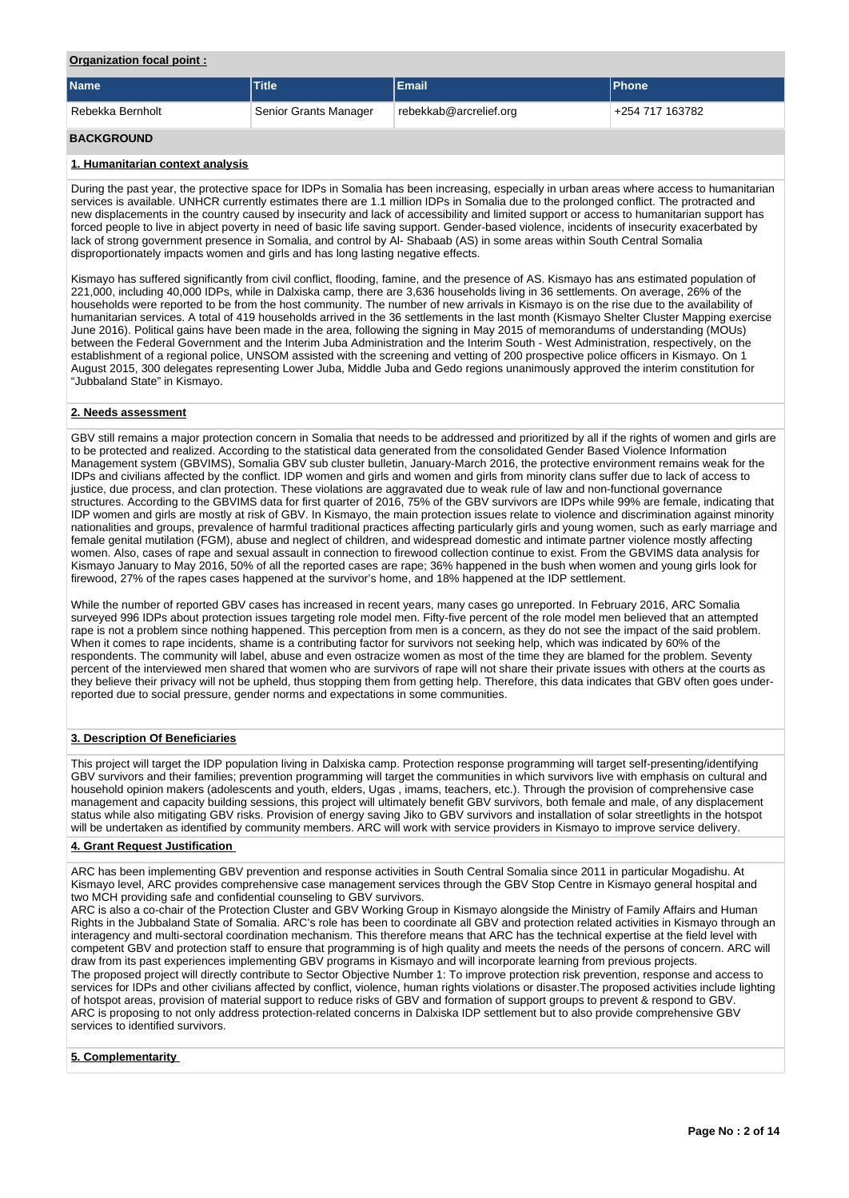## **Organization focal point :**

| <b>Name</b>                   | <b>Title</b>          | <b>Email</b>           | <b>IPhone</b>   |
|-------------------------------|-----------------------|------------------------|-----------------|
| <sup>'</sup> Rebekka Bernholt | Senior Grants Manager | rebekkab@arcrelief.org | +254 717 163782 |
| <b>BACKGROUND</b>             |                       |                        |                 |

## **1. Humanitarian context analysis**

During the past year, the protective space for IDPs in Somalia has been increasing, especially in urban areas where access to humanitarian services is available. UNHCR currently estimates there are 1.1 million IDPs in Somalia due to the prolonged conflict. The protracted and new displacements in the country caused by insecurity and lack of accessibility and limited support or access to humanitarian support has forced people to live in abject poverty in need of basic life saving support. Gender-based violence, incidents of insecurity exacerbated by lack of strong government presence in Somalia, and control by Al- Shabaab (AS) in some areas within South Central Somalia disproportionately impacts women and girls and has long lasting negative effects.

Kismayo has suffered significantly from civil conflict, flooding, famine, and the presence of AS. Kismayo has ans estimated population of 221,000, including 40,000 IDPs, while in Dalxiska camp, there are 3,636 households living in 36 settlements. On average, 26% of the households were reported to be from the host community. The number of new arrivals in Kismayo is on the rise due to the availability of humanitarian services. A total of 419 households arrived in the 36 settlements in the last month (Kismayo Shelter Cluster Mapping exercise June 2016). Political gains have been made in the area, following the signing in May 2015 of memorandums of understanding (MOUs) between the Federal Government and the Interim Juba Administration and the Interim South - West Administration, respectively, on the establishment of a regional police, UNSOM assisted with the screening and vetting of 200 prospective police officers in Kismayo. On 1 August 2015, 300 delegates representing Lower Juba, Middle Juba and Gedo regions unanimously approved the interim constitution for "Jubbaland State" in Kismayo.

### **2. Needs assessment**

GBV still remains a major protection concern in Somalia that needs to be addressed and prioritized by all if the rights of women and girls are to be protected and realized. According to the statistical data generated from the consolidated Gender Based Violence Information Management system (GBVIMS), Somalia GBV sub cluster bulletin, January-March 2016, the protective environment remains weak for the IDPs and civilians affected by the conflict. IDP women and girls and women and girls from minority clans suffer due to lack of access to justice, due process, and clan protection. These violations are aggravated due to weak rule of law and non-functional governance structures. According to the GBVIMS data for first quarter of 2016, 75% of the GBV survivors are IDPs while 99% are female, indicating that IDP women and girls are mostly at risk of GBV. In Kismayo, the main protection issues relate to violence and discrimination against minority nationalities and groups, prevalence of harmful traditional practices affecting particularly girls and young women, such as early marriage and female genital mutilation (FGM), abuse and neglect of children, and widespread domestic and intimate partner violence mostly affecting women. Also, cases of rape and sexual assault in connection to firewood collection continue to exist. From the GBVIMS data analysis for Kismayo January to May 2016, 50% of all the reported cases are rape; 36% happened in the bush when women and young girls look for firewood, 27% of the rapes cases happened at the survivor's home, and 18% happened at the IDP settlement.

While the number of reported GBV cases has increased in recent years, many cases go unreported. In February 2016, ARC Somalia surveyed 996 IDPs about protection issues targeting role model men. Fifty-five percent of the role model men believed that an attempted rape is not a problem since nothing happened. This perception from men is a concern, as they do not see the impact of the said problem. When it comes to rape incidents, shame is a contributing factor for survivors not seeking help, which was indicated by 60% of the respondents. The community will label, abuse and even ostracize women as most of the time they are blamed for the problem. Seventy percent of the interviewed men shared that women who are survivors of rape will not share their private issues with others at the courts as they believe their privacy will not be upheld, thus stopping them from getting help. Therefore, this data indicates that GBV often goes underreported due to social pressure, gender norms and expectations in some communities.

## **3. Description Of Beneficiaries**

This project will target the IDP population living in Dalxiska camp. Protection response programming will target self-presenting/identifying GBV survivors and their families; prevention programming will target the communities in which survivors live with emphasis on cultural and household opinion makers (adolescents and youth, elders, Ugas , imams, teachers, etc.). Through the provision of comprehensive case management and capacity building sessions, this project will ultimately benefit GBV survivors, both female and male, of any displacement status while also mitigating GBV risks. Provision of energy saving Jiko to GBV survivors and installation of solar streetlights in the hotspot will be undertaken as identified by community members. ARC will work with service providers in Kismayo to improve service delivery.

### **4. Grant Request Justification**

ARC has been implementing GBV prevention and response activities in South Central Somalia since 2011 in particular Mogadishu. At Kismayo level, ARC provides comprehensive case management services through the GBV Stop Centre in Kismayo general hospital and two MCH providing safe and confidential counseling to GBV survivors.

ARC is also a co-chair of the Protection Cluster and GBV Working Group in Kismayo alongside the Ministry of Family Affairs and Human Rights in the Jubbaland State of Somalia. ARC's role has been to coordinate all GBV and protection related activities in Kismayo through an interagency and multi-sectoral coordination mechanism. This therefore means that ARC has the technical expertise at the field level with competent GBV and protection staff to ensure that programming is of high quality and meets the needs of the persons of concern. ARC will draw from its past experiences implementing GBV programs in Kismayo and will incorporate learning from previous projects. The proposed project will directly contribute to Sector Objective Number 1: To improve protection risk prevention, response and access to services for IDPs and other civilians affected by conflict, violence, human rights violations or disaster.The proposed activities include lighting of hotspot areas, provision of material support to reduce risks of GBV and formation of support groups to prevent & respond to GBV. ARC is proposing to not only address protection-related concerns in Dalxiska IDP settlement but to also provide comprehensive GBV services to identified survivors.

# **5. Complementarity**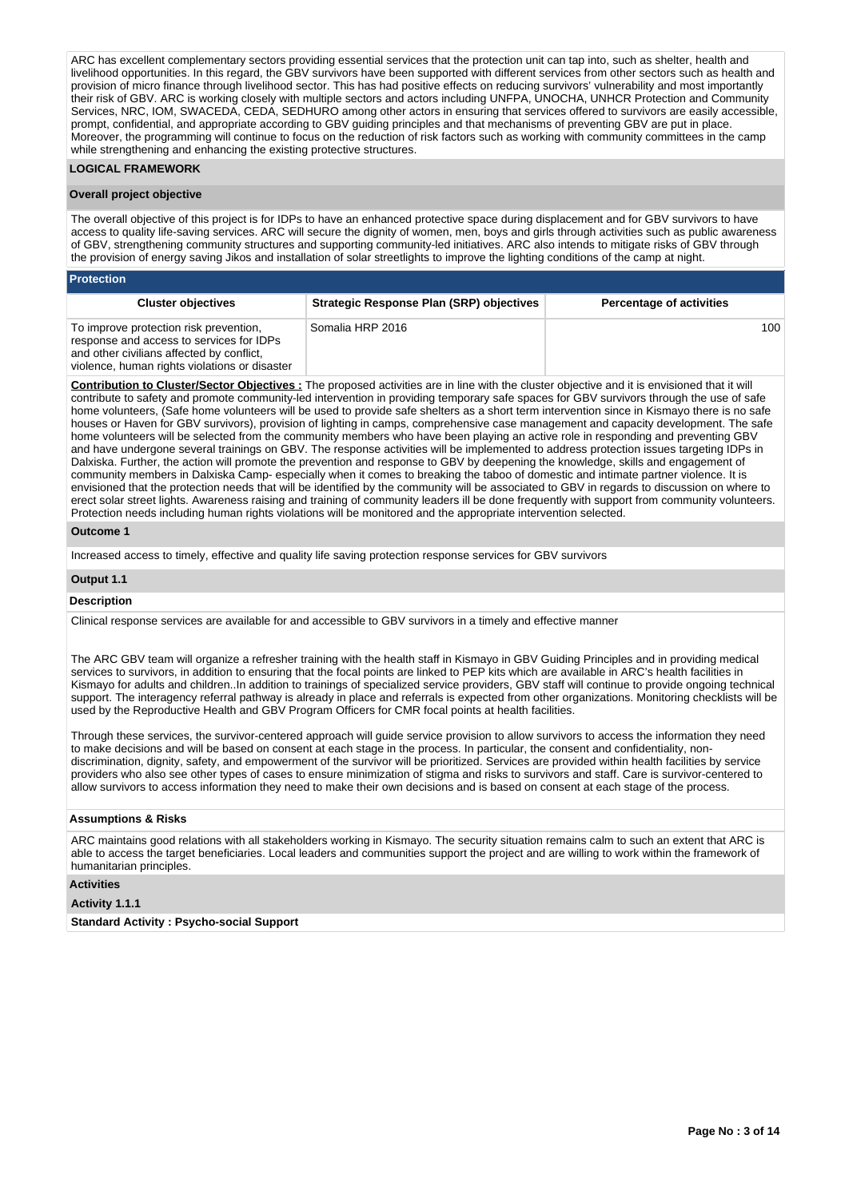ARC has excellent complementary sectors providing essential services that the protection unit can tap into, such as shelter, health and livelihood opportunities. In this regard, the GBV survivors have been supported with different services from other sectors such as health and provision of micro finance through livelihood sector. This has had positive effects on reducing survivors' vulnerability and most importantly their risk of GBV. ARC is working closely with multiple sectors and actors including UNFPA, UNOCHA, UNHCR Protection and Community Services, NRC, IOM, SWACEDA, CEDA, SEDHURO among other actors in ensuring that services offered to survivors are easily accessible, prompt, confidential, and appropriate according to GBV guiding principles and that mechanisms of preventing GBV are put in place. Moreover, the programming will continue to focus on the reduction of risk factors such as working with community committees in the camp while strengthening and enhancing the existing protective structures.

### **LOGICAL FRAMEWORK**

#### **Overall project objective**

The overall objective of this project is for IDPs to have an enhanced protective space during displacement and for GBV survivors to have access to quality life-saving services. ARC will secure the dignity of women, men, boys and girls through activities such as public awareness of GBV, strengthening community structures and supporting community-led initiatives. ARC also intends to mitigate risks of GBV through the provision of energy saving Jikos and installation of solar streetlights to improve the lighting conditions of the camp at night.

### **Protection**

| <b>Cluster objectives</b>                                                                                                                                                        | <b>Strategic Response Plan (SRP) objectives</b> | <b>Percentage of activities</b> |
|----------------------------------------------------------------------------------------------------------------------------------------------------------------------------------|-------------------------------------------------|---------------------------------|
| To improve protection risk prevention,<br>response and access to services for IDPs<br>and other civilians affected by conflict,<br>violence, human rights violations or disaster | Somalia HRP 2016                                | 100 <sup>1</sup>                |

**Contribution to Cluster/Sector Objectives :** The proposed activities are in line with the cluster objective and it is envisioned that it will contribute to safety and promote community-led intervention in providing temporary safe spaces for GBV survivors through the use of safe home volunteers, (Safe home volunteers will be used to provide safe shelters as a short term intervention since in Kismayo there is no safe houses or Haven for GBV survivors), provision of lighting in camps, comprehensive case management and capacity development. The safe home volunteers will be selected from the community members who have been playing an active role in responding and preventing GBV and have undergone several trainings on GBV. The response activities will be implemented to address protection issues targeting IDPs in Dalxiska. Further, the action will promote the prevention and response to GBV by deepening the knowledge, skills and engagement of community members in Dalxiska Camp- especially when it comes to breaking the taboo of domestic and intimate partner violence. It is envisioned that the protection needs that will be identified by the community will be associated to GBV in regards to discussion on where to erect solar street lights. Awareness raising and training of community leaders ill be done frequently with support from community volunteers. Protection needs including human rights violations will be monitored and the appropriate intervention selected.

#### **Outcome 1**

Increased access to timely, effective and quality life saving protection response services for GBV survivors

#### **Output 1.1**

#### **Description**

Clinical response services are available for and accessible to GBV survivors in a timely and effective manner

The ARC GBV team will organize a refresher training with the health staff in Kismayo in GBV Guiding Principles and in providing medical services to survivors, in addition to ensuring that the focal points are linked to PEP kits which are available in ARC's health facilities in Kismayo for adults and children..In addition to trainings of specialized service providers, GBV staff will continue to provide ongoing technical support. The interagency referral pathway is already in place and referrals is expected from other organizations. Monitoring checklists will be used by the Reproductive Health and GBV Program Officers for CMR focal points at health facilities.

Through these services, the survivor-centered approach will guide service provision to allow survivors to access the information they need to make decisions and will be based on consent at each stage in the process. In particular, the consent and confidentiality, nondiscrimination, dignity, safety, and empowerment of the survivor will be prioritized. Services are provided within health facilities by service providers who also see other types of cases to ensure minimization of stigma and risks to survivors and staff. Care is survivor-centered to allow survivors to access information they need to make their own decisions and is based on consent at each stage of the process.

# **Assumptions & Risks**

ARC maintains good relations with all stakeholders working in Kismayo. The security situation remains calm to such an extent that ARC is able to access the target beneficiaries. Local leaders and communities support the project and are willing to work within the framework of humanitarian principles.

### **Activities**

#### **Activity 1.1.1**

**Standard Activity : Psycho-social Support**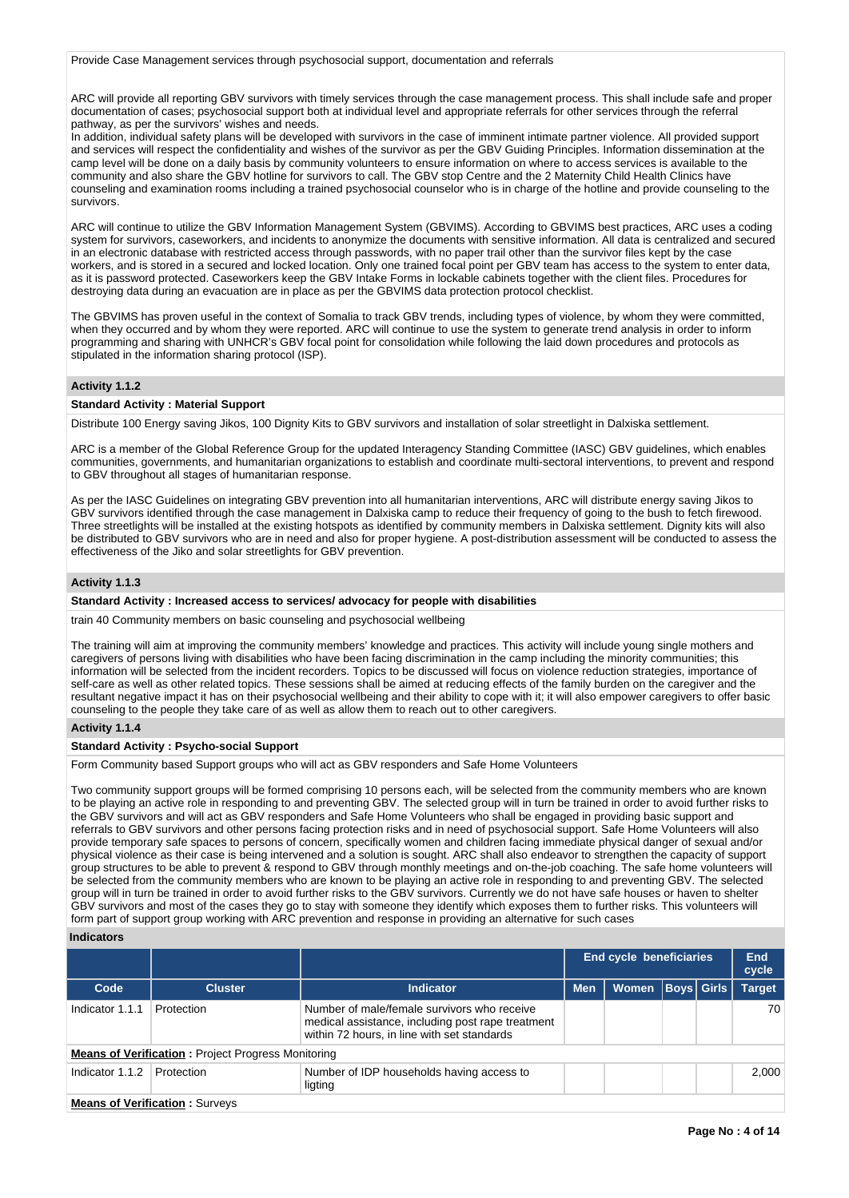#### Provide Case Management services through psychosocial support, documentation and referrals

ARC will provide all reporting GBV survivors with timely services through the case management process. This shall include safe and proper documentation of cases; psychosocial support both at individual level and appropriate referrals for other services through the referral pathway, as per the survivors' wishes and needs.

In addition, individual safety plans will be developed with survivors in the case of imminent intimate partner violence. All provided support and services will respect the confidentiality and wishes of the survivor as per the GBV Guiding Principles. Information dissemination at the camp level will be done on a daily basis by community volunteers to ensure information on where to access services is available to the community and also share the GBV hotline for survivors to call. The GBV stop Centre and the 2 Maternity Child Health Clinics have counseling and examination rooms including a trained psychosocial counselor who is in charge of the hotline and provide counseling to the survivors.

ARC will continue to utilize the GBV Information Management System (GBVIMS). According to GBVIMS best practices, ARC uses a coding system for survivors, caseworkers, and incidents to anonymize the documents with sensitive information. All data is centralized and secured in an electronic database with restricted access through passwords, with no paper trail other than the survivor files kept by the case workers, and is stored in a secured and locked location. Only one trained focal point per GBV team has access to the system to enter data, as it is password protected. Caseworkers keep the GBV Intake Forms in lockable cabinets together with the client files. Procedures for destroying data during an evacuation are in place as per the GBVIMS data protection protocol checklist.

The GBVIMS has proven useful in the context of Somalia to track GBV trends, including types of violence, by whom they were committed, when they occurred and by whom they were reported. ARC will continue to use the system to generate trend analysis in order to inform programming and sharing with UNHCR's GBV focal point for consolidation while following the laid down procedures and protocols as stipulated in the information sharing protocol (ISP).

#### **Activity 1.1.2**

### **Standard Activity : Material Support**

Distribute 100 Energy saving Jikos, 100 Dignity Kits to GBV survivors and installation of solar streetlight in Dalxiska settlement.

ARC is a member of the Global Reference Group for the updated Interagency Standing Committee (IASC) GBV guidelines, which enables communities, governments, and humanitarian organizations to establish and coordinate multi-sectoral interventions, to prevent and respond to GBV throughout all stages of humanitarian response.

As per the IASC Guidelines on integrating GBV prevention into all humanitarian interventions, ARC will distribute energy saving Jikos to GBV survivors identified through the case management in Dalxiska camp to reduce their frequency of going to the bush to fetch firewood. Three streetlights will be installed at the existing hotspots as identified by community members in Dalxiska settlement. Dignity kits will also be distributed to GBV survivors who are in need and also for proper hygiene. A post-distribution assessment will be conducted to assess the effectiveness of the Jiko and solar streetlights for GBV prevention.

### **Activity 1.1.3**

#### **Standard Activity : Increased access to services/ advocacy for people with disabilities**

train 40 Community members on basic counseling and psychosocial wellbeing

The training will aim at improving the community members' knowledge and practices. This activity will include young single mothers and caregivers of persons living with disabilities who have been facing discrimination in the camp including the minority communities; this information will be selected from the incident recorders. Topics to be discussed will focus on violence reduction strategies, importance of self-care as well as other related topics. These sessions shall be aimed at reducing effects of the family burden on the caregiver and the resultant negative impact it has on their psychosocial wellbeing and their ability to cope with it; it will also empower caregivers to offer basic counseling to the people they take care of as well as allow them to reach out to other caregivers.

### **Activity 1.1.4**

#### **Standard Activity : Psycho-social Support**

Form Community based Support groups who will act as GBV responders and Safe Home Volunteers

Two community support groups will be formed comprising 10 persons each, will be selected from the community members who are known to be playing an active role in responding to and preventing GBV. The selected group will in turn be trained in order to avoid further risks to the GBV survivors and will act as GBV responders and Safe Home Volunteers who shall be engaged in providing basic support and referrals to GBV survivors and other persons facing protection risks and in need of psychosocial support. Safe Home Volunteers will also provide temporary safe spaces to persons of concern, specifically women and children facing immediate physical danger of sexual and/or physical violence as their case is being intervened and a solution is sought. ARC shall also endeavor to strengthen the capacity of support group structures to be able to prevent & respond to GBV through monthly meetings and on-the-job coaching. The safe home volunteers will be selected from the community members who are known to be playing an active role in responding to and preventing GBV. The selected group will in turn be trained in order to avoid further risks to the GBV survivors. Currently we do not have safe houses or haven to shelter GBV survivors and most of the cases they go to stay with someone they identify which exposes them to further risks. This volunteers will form part of support group working with ARC prevention and response in providing an alternative for such cases

#### **Indicators**

|                 |                                                           |                                                                                                                                                 |            | <b>End cycle beneficiaries</b> |  |              |               |  |  |  |
|-----------------|-----------------------------------------------------------|-------------------------------------------------------------------------------------------------------------------------------------------------|------------|--------------------------------|--|--------------|---------------|--|--|--|
| Code            | <b>Cluster</b>                                            | <b>Indicator</b>                                                                                                                                | <b>Men</b> | <b>Women</b>                   |  | Boys   Girls | <b>Target</b> |  |  |  |
| Indicator 1.1.1 | Protection                                                | Number of male/female survivors who receive<br>medical assistance, including post rape treatment<br>within 72 hours, in line with set standards |            |                                |  |              | 70            |  |  |  |
|                 | <b>Means of Verification:</b> Project Progress Monitoring |                                                                                                                                                 |            |                                |  |              |               |  |  |  |
| Indicator 1.1.2 | Protection                                                | Number of IDP households having access to<br>ligting                                                                                            |            |                                |  |              | 2.000         |  |  |  |
|                 | <b>Means of Verification: Surveys</b>                     |                                                                                                                                                 |            |                                |  |              |               |  |  |  |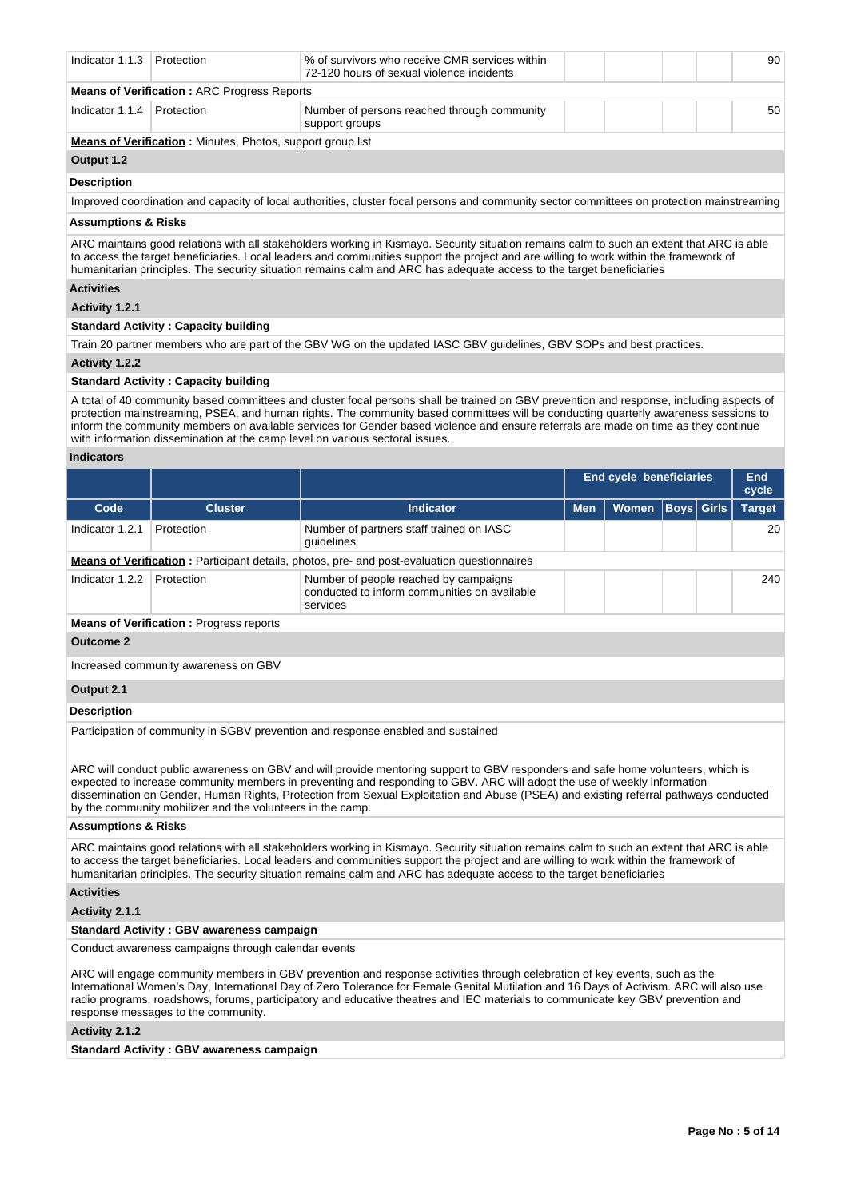| Indicator 1.1.3 Protection                         |                                                                   | % of survivors who receive CMR services within<br>72-120 hours of sexual violence incidents |  |  |  |  | 90 |
|----------------------------------------------------|-------------------------------------------------------------------|---------------------------------------------------------------------------------------------|--|--|--|--|----|
| <b>Means of Verification: ARC Progress Reports</b> |                                                                   |                                                                                             |  |  |  |  |    |
| Indicator $1.1.4$                                  | Protection                                                        | Number of persons reached through community<br>support groups                               |  |  |  |  | 50 |
|                                                    | <b>Means of Verification:</b> Minutes, Photos, support group list |                                                                                             |  |  |  |  |    |
| Output 1.2                                         |                                                                   |                                                                                             |  |  |  |  |    |

# **Description**

Improved coordination and capacity of local authorities, cluster focal persons and community sector committees on protection mainstreaming

# **Assumptions & Risks**

ARC maintains good relations with all stakeholders working in Kismayo. Security situation remains calm to such an extent that ARC is able to access the target beneficiaries. Local leaders and communities support the project and are willing to work within the framework of humanitarian principles. The security situation remains calm and ARC has adequate access to the target beneficiaries

# **Activities**

# **Activity 1.2.1**

### **Standard Activity : Capacity building**

Train 20 partner members who are part of the GBV WG on the updated IASC GBV guidelines, GBV SOPs and best practices.

# **Activity 1.2.2**

#### **Standard Activity : Capacity building**

A total of 40 community based committees and cluster focal persons shall be trained on GBV prevention and response, including aspects of protection mainstreaming, PSEA, and human rights. The community based committees will be conducting quarterly awareness sessions to inform the community members on available services for Gender based violence and ensure referrals are made on time as they continue with information dissemination at the camp level on various sectoral issues.

#### **Indicators**

|                 |                                          |                                                                                                   |            | <b>End cycle beneficiaries</b> |                   |  |               |  |
|-----------------|------------------------------------------|---------------------------------------------------------------------------------------------------|------------|--------------------------------|-------------------|--|---------------|--|
| Code            | <b>Cluster</b>                           | <b>Indicator</b>                                                                                  | <b>Men</b> | <b>Women</b>                   | <b>Boys Girls</b> |  | <b>Target</b> |  |
| Indicator 1.2.1 | Protection                               | Number of partners staff trained on IASC<br>quidelines                                            |            |                                |                   |  | 20            |  |
|                 |                                          | Means of Verification: Participant details, photos, pre- and post-evaluation questionnaires       |            |                                |                   |  |               |  |
| Indicator 1.2.2 | Protection                               | Number of people reached by campaigns<br>conducted to inform communities on available<br>services |            |                                |                   |  | 240           |  |
|                 | Magne of Ventflastian - Decessor senants |                                                                                                   |            |                                |                   |  |               |  |

**Means of Verification :** Progress reports

#### **Outcome 2**

Increased community awareness on GBV

## **Output 2.1**

### **Description**

Participation of community in SGBV prevention and response enabled and sustained

ARC will conduct public awareness on GBV and will provide mentoring support to GBV responders and safe home volunteers, which is expected to increase community members in preventing and responding to GBV. ARC will adopt the use of weekly information dissemination on Gender, Human Rights, Protection from Sexual Exploitation and Abuse (PSEA) and existing referral pathways conducted by the community mobilizer and the volunteers in the camp.

#### **Assumptions & Risks**

ARC maintains good relations with all stakeholders working in Kismayo. Security situation remains calm to such an extent that ARC is able to access the target beneficiaries. Local leaders and communities support the project and are willing to work within the framework of humanitarian principles. The security situation remains calm and ARC has adequate access to the target beneficiaries

# **Activities**

# **Activity 2.1.1**

### **Standard Activity : GBV awareness campaign**

Conduct awareness campaigns through calendar events

ARC will engage community members in GBV prevention and response activities through celebration of key events, such as the International Women's Day, International Day of Zero Tolerance for Female Genital Mutilation and 16 Days of Activism. ARC will also use radio programs, roadshows, forums, participatory and educative theatres and IEC materials to communicate key GBV prevention and response messages to the community.

#### **Activity 2.1.2**

**Standard Activity : GBV awareness campaign**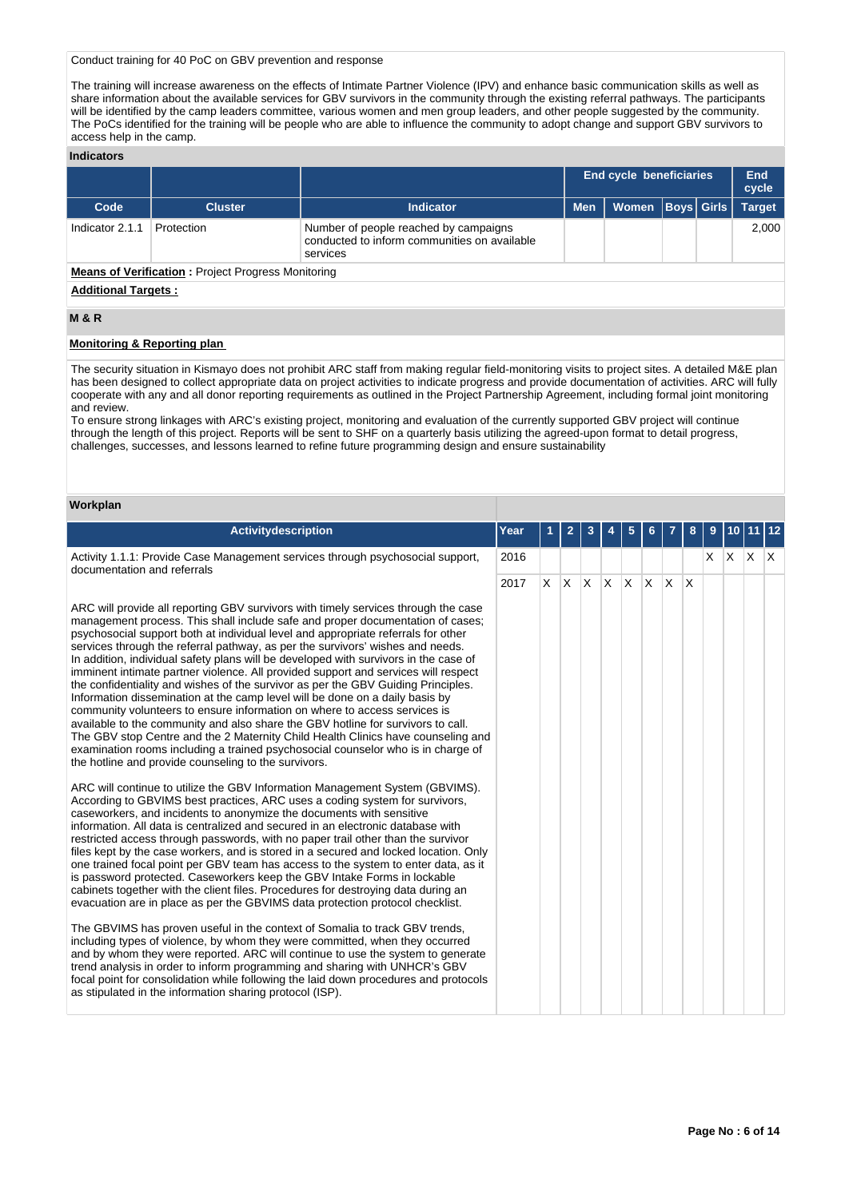Conduct training for 40 PoC on GBV prevention and response

The training will increase awareness on the effects of Intimate Partner Violence (IPV) and enhance basic communication skills as well as share information about the available services for GBV survivors in the community through the existing referral pathways. The participants will be identified by the camp leaders committee, various women and men group leaders, and other people suggested by the community. The PoCs identified for the training will be people who are able to influence the community to adopt change and support GBV survivors to access help in the camp.

### **Indicators**

|                                                           |                |                                                                                                   |            | <b>End cycle beneficiaries</b> |  |  | End<br>cycle        |
|-----------------------------------------------------------|----------------|---------------------------------------------------------------------------------------------------|------------|--------------------------------|--|--|---------------------|
| Code                                                      | <b>Cluster</b> | Indicator                                                                                         | <b>Men</b> | Women   Boys   Girls           |  |  | Target <sup>1</sup> |
| Indicator 2.1.1                                           | Protection     | Number of people reached by campaigns<br>conducted to inform communities on available<br>services |            |                                |  |  | 2.000               |
| <b>Means of Verification:</b> Project Progress Monitoring |                |                                                                                                   |            |                                |  |  |                     |

#### **Additional Targets :**

# **M & R**

# **Monitoring & Reporting plan**

The security situation in Kismayo does not prohibit ARC staff from making regular field-monitoring visits to project sites. A detailed M&E plan has been designed to collect appropriate data on project activities to indicate progress and provide documentation of activities. ARC will fully cooperate with any and all donor reporting requirements as outlined in the Project Partnership Agreement, including formal joint monitoring and review.

To ensure strong linkages with ARC's existing project, monitoring and evaluation of the currently supported GBV project will continue through the length of this project. Reports will be sent to SHF on a quarterly basis utilizing the agreed-upon format to detail progress, challenges, successes, and lessons learned to refine future programming design and ensure sustainability

# **Workplan**

| Activitydescription                                                                                                                                                                                                                                                                                                                                                                                                                                                                                                                                                                                                                                                                                                                                                                                                                                                                                                                                                                                                                                                                             | Year | 1        | $\overline{2}$ | 3 | 5        | 6.       |   | 8   | 9  | 10 |              |  |
|-------------------------------------------------------------------------------------------------------------------------------------------------------------------------------------------------------------------------------------------------------------------------------------------------------------------------------------------------------------------------------------------------------------------------------------------------------------------------------------------------------------------------------------------------------------------------------------------------------------------------------------------------------------------------------------------------------------------------------------------------------------------------------------------------------------------------------------------------------------------------------------------------------------------------------------------------------------------------------------------------------------------------------------------------------------------------------------------------|------|----------|----------------|---|----------|----------|---|-----|----|----|--------------|--|
| Activity 1.1.1: Provide Case Management services through psychosocial support,<br>documentation and referrals                                                                                                                                                                                                                                                                                                                                                                                                                                                                                                                                                                                                                                                                                                                                                                                                                                                                                                                                                                                   | 2016 |          |                |   |          |          |   |     | X. |    | $x \times x$ |  |
|                                                                                                                                                                                                                                                                                                                                                                                                                                                                                                                                                                                                                                                                                                                                                                                                                                                                                                                                                                                                                                                                                                 | 2017 | <b>X</b> | $x \times x$   |   | <b>X</b> | <b>X</b> | X | ΙX. |    |    |              |  |
| ARC will provide all reporting GBV survivors with timely services through the case<br>management process. This shall include safe and proper documentation of cases;<br>psychosocial support both at individual level and appropriate referrals for other<br>services through the referral pathway, as per the survivors' wishes and needs.<br>In addition, individual safety plans will be developed with survivors in the case of<br>imminent intimate partner violence. All provided support and services will respect<br>the confidentiality and wishes of the survivor as per the GBV Guiding Principles.<br>Information dissemination at the camp level will be done on a daily basis by<br>community volunteers to ensure information on where to access services is<br>available to the community and also share the GBV hotline for survivors to call.<br>The GBV stop Centre and the 2 Maternity Child Health Clinics have counseling and<br>examination rooms including a trained psychosocial counselor who is in charge of<br>the hotline and provide counseling to the survivors. |      |          |                |   |          |          |   |     |    |    |              |  |
| ARC will continue to utilize the GBV Information Management System (GBVIMS).<br>According to GBVIMS best practices, ARC uses a coding system for survivors,<br>caseworkers, and incidents to anonymize the documents with sensitive<br>information. All data is centralized and secured in an electronic database with<br>restricted access through passwords, with no paper trail other than the survivor<br>files kept by the case workers, and is stored in a secured and locked location. Only<br>one trained focal point per GBV team has access to the system to enter data, as it<br>is password protected. Caseworkers keep the GBV Intake Forms in lockable<br>cabinets together with the client files. Procedures for destroying data during an<br>evacuation are in place as per the GBVIMS data protection protocol checklist.                                                                                                                                                                                                                                                      |      |          |                |   |          |          |   |     |    |    |              |  |
| The GBVIMS has proven useful in the context of Somalia to track GBV trends,<br>including types of violence, by whom they were committed, when they occurred<br>and by whom they were reported. ARC will continue to use the system to generate<br>trend analysis in order to inform programming and sharing with UNHCR's GBV<br>focal point for consolidation while following the laid down procedures and protocols<br>as stipulated in the information sharing protocol (ISP).                                                                                                                                                                                                                                                                                                                                                                                                                                                                                                                                                                                                                |      |          |                |   |          |          |   |     |    |    |              |  |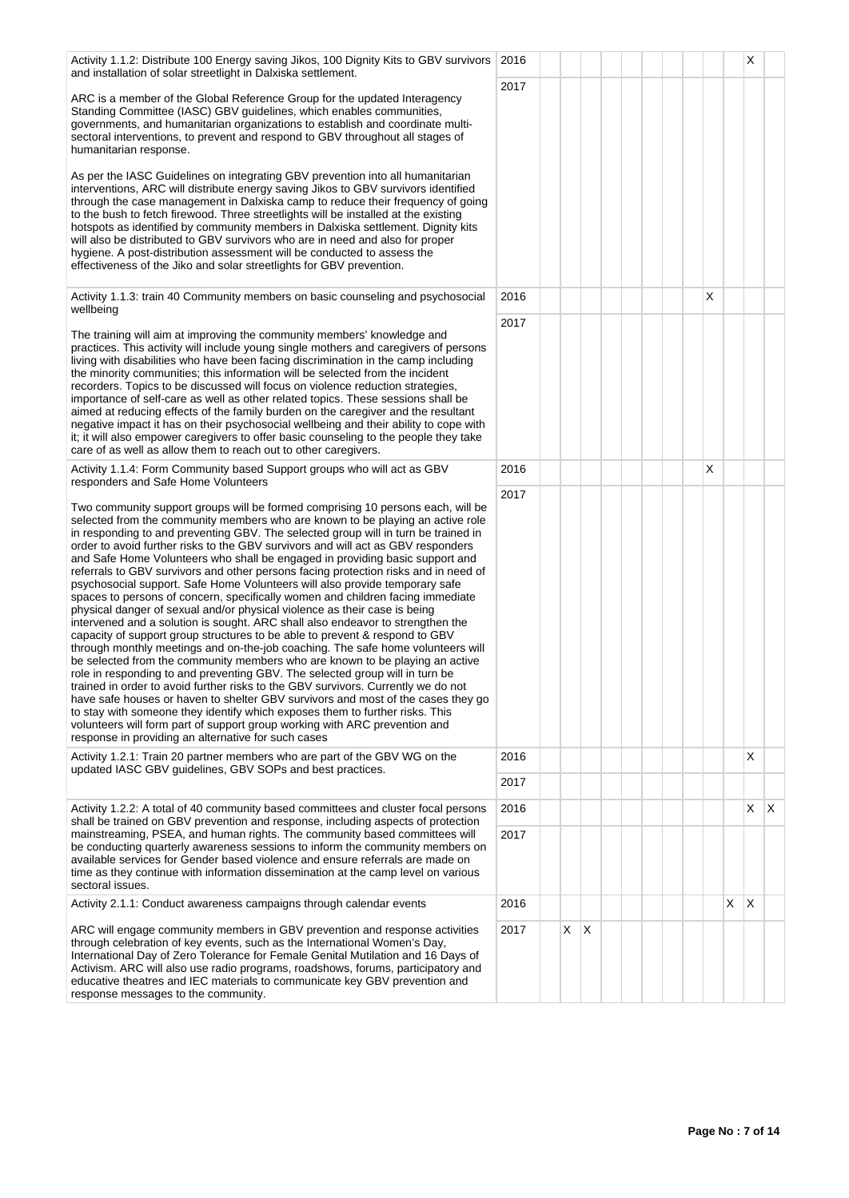| Activity 1.1.2: Distribute 100 Energy saving Jikos, 100 Dignity Kits to GBV survivors<br>and installation of solar streetlight in Dalxiska settlement.                                                                                                                                                                                                                                                                                                                                                                                                                                                                                                                                                                                                                                                                                                                                                                                                                                                                                                                                                                                                                                                                                                                                                                                                                                                                                                                                                                                                                             | 2016 |               |  |  |   |   | Х   |  |
|------------------------------------------------------------------------------------------------------------------------------------------------------------------------------------------------------------------------------------------------------------------------------------------------------------------------------------------------------------------------------------------------------------------------------------------------------------------------------------------------------------------------------------------------------------------------------------------------------------------------------------------------------------------------------------------------------------------------------------------------------------------------------------------------------------------------------------------------------------------------------------------------------------------------------------------------------------------------------------------------------------------------------------------------------------------------------------------------------------------------------------------------------------------------------------------------------------------------------------------------------------------------------------------------------------------------------------------------------------------------------------------------------------------------------------------------------------------------------------------------------------------------------------------------------------------------------------|------|---------------|--|--|---|---|-----|--|
| ARC is a member of the Global Reference Group for the updated Interagency<br>Standing Committee (IASC) GBV guidelines, which enables communities,<br>governments, and humanitarian organizations to establish and coordinate multi-<br>sectoral interventions, to prevent and respond to GBV throughout all stages of<br>humanitarian response.                                                                                                                                                                                                                                                                                                                                                                                                                                                                                                                                                                                                                                                                                                                                                                                                                                                                                                                                                                                                                                                                                                                                                                                                                                    | 2017 |               |  |  |   |   |     |  |
| As per the IASC Guidelines on integrating GBV prevention into all humanitarian<br>interventions, ARC will distribute energy saving Jikos to GBV survivors identified<br>through the case management in Dalxiska camp to reduce their frequency of going<br>to the bush to fetch firewood. Three streetlights will be installed at the existing<br>hotspots as identified by community members in Dalxiska settlement. Dignity kits<br>will also be distributed to GBV survivors who are in need and also for proper<br>hygiene. A post-distribution assessment will be conducted to assess the<br>effectiveness of the Jiko and solar streetlights for GBV prevention.                                                                                                                                                                                                                                                                                                                                                                                                                                                                                                                                                                                                                                                                                                                                                                                                                                                                                                             |      |               |  |  |   |   |     |  |
| Activity 1.1.3: train 40 Community members on basic counseling and psychosocial<br>wellbeing                                                                                                                                                                                                                                                                                                                                                                                                                                                                                                                                                                                                                                                                                                                                                                                                                                                                                                                                                                                                                                                                                                                                                                                                                                                                                                                                                                                                                                                                                       | 2016 |               |  |  | X |   |     |  |
| The training will aim at improving the community members' knowledge and<br>practices. This activity will include young single mothers and caregivers of persons<br>living with disabilities who have been facing discrimination in the camp including<br>the minority communities; this information will be selected from the incident<br>recorders. Topics to be discussed will focus on violence reduction strategies,<br>importance of self-care as well as other related topics. These sessions shall be<br>aimed at reducing effects of the family burden on the caregiver and the resultant<br>negative impact it has on their psychosocial wellbeing and their ability to cope with<br>it; it will also empower caregivers to offer basic counseling to the people they take<br>care of as well as allow them to reach out to other caregivers.                                                                                                                                                                                                                                                                                                                                                                                                                                                                                                                                                                                                                                                                                                                             | 2017 |               |  |  |   |   |     |  |
| Activity 1.1.4: Form Community based Support groups who will act as GBV<br>responders and Safe Home Volunteers                                                                                                                                                                                                                                                                                                                                                                                                                                                                                                                                                                                                                                                                                                                                                                                                                                                                                                                                                                                                                                                                                                                                                                                                                                                                                                                                                                                                                                                                     | 2016 |               |  |  | х |   |     |  |
| Two community support groups will be formed comprising 10 persons each, will be<br>selected from the community members who are known to be playing an active role<br>in responding to and preventing GBV. The selected group will in turn be trained in<br>order to avoid further risks to the GBV survivors and will act as GBV responders<br>and Safe Home Volunteers who shall be engaged in providing basic support and<br>referrals to GBV survivors and other persons facing protection risks and in need of<br>psychosocial support. Safe Home Volunteers will also provide temporary safe<br>spaces to persons of concern, specifically women and children facing immediate<br>physical danger of sexual and/or physical violence as their case is being<br>intervened and a solution is sought. ARC shall also endeavor to strengthen the<br>capacity of support group structures to be able to prevent & respond to GBV<br>through monthly meetings and on-the-job coaching. The safe home volunteers will<br>be selected from the community members who are known to be playing an active<br>role in responding to and preventing GBV. The selected group will in turn be<br>trained in order to avoid further risks to the GBV survivors. Currently we do not<br>have safe houses or haven to shelter GBV survivors and most of the cases they go<br>to stay with someone they identify which exposes them to further risks. This<br>volunteers will form part of support group working with ARC prevention and<br>response in providing an alternative for such cases | 2017 |               |  |  |   |   |     |  |
| Activity 1.2.1: Train 20 partner members who are part of the GBV WG on the<br>updated IASC GBV guidelines, GBV SOPs and best practices.                                                                                                                                                                                                                                                                                                                                                                                                                                                                                                                                                                                                                                                                                                                                                                                                                                                                                                                                                                                                                                                                                                                                                                                                                                                                                                                                                                                                                                            | 2016 |               |  |  |   |   | X   |  |
|                                                                                                                                                                                                                                                                                                                                                                                                                                                                                                                                                                                                                                                                                                                                                                                                                                                                                                                                                                                                                                                                                                                                                                                                                                                                                                                                                                                                                                                                                                                                                                                    | 2017 |               |  |  |   |   |     |  |
| Activity 1.2.2: A total of 40 community based committees and cluster focal persons<br>shall be trained on GBV prevention and response, including aspects of protection                                                                                                                                                                                                                                                                                                                                                                                                                                                                                                                                                                                                                                                                                                                                                                                                                                                                                                                                                                                                                                                                                                                                                                                                                                                                                                                                                                                                             | 2016 |               |  |  |   |   | X X |  |
| mainstreaming, PSEA, and human rights. The community based committees will<br>be conducting quarterly awareness sessions to inform the community members on<br>available services for Gender based violence and ensure referrals are made on<br>time as they continue with information dissemination at the camp level on various<br>sectoral issues.                                                                                                                                                                                                                                                                                                                                                                                                                                                                                                                                                                                                                                                                                                                                                                                                                                                                                                                                                                                                                                                                                                                                                                                                                              | 2017 |               |  |  |   |   |     |  |
| Activity 2.1.1: Conduct awareness campaigns through calendar events                                                                                                                                                                                                                                                                                                                                                                                                                                                                                                                                                                                                                                                                                                                                                                                                                                                                                                                                                                                                                                                                                                                                                                                                                                                                                                                                                                                                                                                                                                                | 2016 |               |  |  |   | X | Х   |  |
| ARC will engage community members in GBV prevention and response activities<br>through celebration of key events, such as the International Women's Day,<br>International Day of Zero Tolerance for Female Genital Mutilation and 16 Days of<br>Activism. ARC will also use radio programs, roadshows, forums, participatory and<br>educative theatres and IEC materials to communicate key GBV prevention and<br>response messages to the community.                                                                                                                                                                                                                                                                                                                                                                                                                                                                                                                                                                                                                                                                                                                                                                                                                                                                                                                                                                                                                                                                                                                              | 2017 | X<br>$\times$ |  |  |   |   |     |  |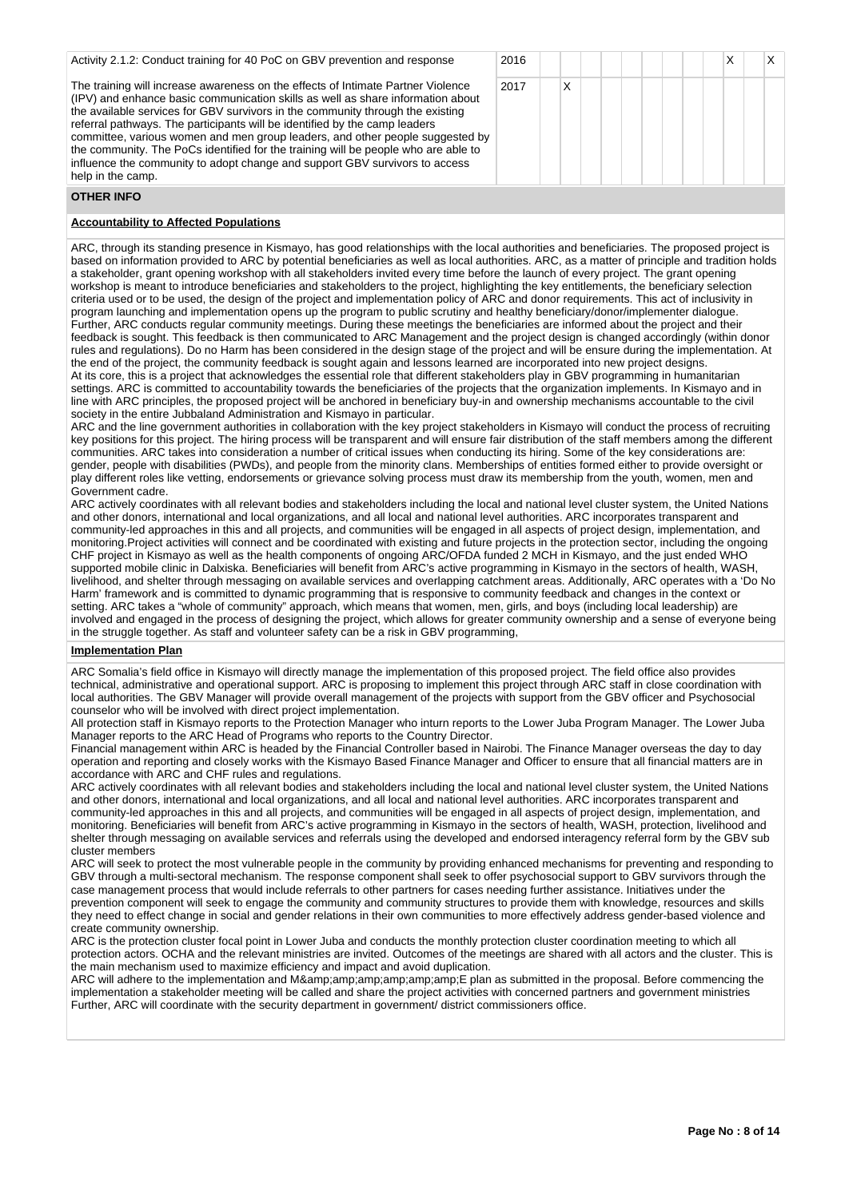| Activity 2.1.2: Conduct training for 40 PoC on GBV prevention and response                                                                                                                                                                                                                                                                                                                                                                                                                                                                                                                                     | 2016 |   |  |  |  |
|----------------------------------------------------------------------------------------------------------------------------------------------------------------------------------------------------------------------------------------------------------------------------------------------------------------------------------------------------------------------------------------------------------------------------------------------------------------------------------------------------------------------------------------------------------------------------------------------------------------|------|---|--|--|--|
| The training will increase awareness on the effects of Intimate Partner Violence<br>(IPV) and enhance basic communication skills as well as share information about<br>the available services for GBV survivors in the community through the existing<br>referral pathways. The participants will be identified by the camp leaders<br>committee, various women and men group leaders, and other people suggested by<br>the community. The PoCs identified for the training will be people who are able to<br>influence the community to adopt change and support GBV survivors to access<br>help in the camp. | 2017 | Χ |  |  |  |

# **OTHER INFO**

# **Accountability to Affected Populations**

ARC, through its standing presence in Kismayo, has good relationships with the local authorities and beneficiaries. The proposed project is based on information provided to ARC by potential beneficiaries as well as local authorities. ARC, as a matter of principle and tradition holds a stakeholder, grant opening workshop with all stakeholders invited every time before the launch of every project. The grant opening workshop is meant to introduce beneficiaries and stakeholders to the project, highlighting the key entitlements, the beneficiary selection criteria used or to be used, the design of the project and implementation policy of ARC and donor requirements. This act of inclusivity in program launching and implementation opens up the program to public scrutiny and healthy beneficiary/donor/implementer dialogue. Further, ARC conducts regular community meetings. During these meetings the beneficiaries are informed about the project and their feedback is sought. This feedback is then communicated to ARC Management and the project design is changed accordingly (within donor rules and regulations). Do no Harm has been considered in the design stage of the project and will be ensure during the implementation. At the end of the project, the community feedback is sought again and lessons learned are incorporated into new project designs. At its core, this is a project that acknowledges the essential role that different stakeholders play in GBV programming in humanitarian settings. ARC is committed to accountability towards the beneficiaries of the projects that the organization implements. In Kismayo and in line with ARC principles, the proposed project will be anchored in beneficiary buy-in and ownership mechanisms accountable to the civil society in the entire Jubbaland Administration and Kismayo in particular.

ARC and the line government authorities in collaboration with the key project stakeholders in Kismayo will conduct the process of recruiting key positions for this project. The hiring process will be transparent and will ensure fair distribution of the staff members among the different communities. ARC takes into consideration a number of critical issues when conducting its hiring. Some of the key considerations are: gender, people with disabilities (PWDs), and people from the minority clans. Memberships of entities formed either to provide oversight or play different roles like vetting, endorsements or grievance solving process must draw its membership from the youth, women, men and Government cadre.

ARC actively coordinates with all relevant bodies and stakeholders including the local and national level cluster system, the United Nations and other donors, international and local organizations, and all local and national level authorities. ARC incorporates transparent and community-led approaches in this and all projects, and communities will be engaged in all aspects of project design, implementation, and monitoring.Project activities will connect and be coordinated with existing and future projects in the protection sector, including the ongoing CHF project in Kismayo as well as the health components of ongoing ARC/OFDA funded 2 MCH in Kismayo, and the just ended WHO supported mobile clinic in Dalxiska. Beneficiaries will benefit from ARC's active programming in Kismayo in the sectors of health, WASH, livelihood, and shelter through messaging on available services and overlapping catchment areas. Additionally, ARC operates with a 'Do No Harm' framework and is committed to dynamic programming that is responsive to community feedback and changes in the context or setting. ARC takes a "whole of community" approach, which means that women, men, girls, and boys (including local leadership) are involved and engaged in the process of designing the project, which allows for greater community ownership and a sense of everyone being in the struggle together. As staff and volunteer safety can be a risk in GBV programming,

# **Implementation Plan**

ARC Somalia's field office in Kismayo will directly manage the implementation of this proposed project. The field office also provides technical, administrative and operational support. ARC is proposing to implement this project through ARC staff in close coordination with local authorities. The GBV Manager will provide overall management of the projects with support from the GBV officer and Psychosocial counselor who will be involved with direct project implementation.

All protection staff in Kismayo reports to the Protection Manager who inturn reports to the Lower Juba Program Manager. The Lower Juba Manager reports to the ARC Head of Programs who reports to the Country Director.

Financial management within ARC is headed by the Financial Controller based in Nairobi. The Finance Manager overseas the day to day operation and reporting and closely works with the Kismayo Based Finance Manager and Officer to ensure that all financial matters are in accordance with ARC and CHF rules and regulations.

ARC actively coordinates with all relevant bodies and stakeholders including the local and national level cluster system, the United Nations and other donors, international and local organizations, and all local and national level authorities. ARC incorporates transparent and community-led approaches in this and all projects, and communities will be engaged in all aspects of project design, implementation, and monitoring. Beneficiaries will benefit from ARC's active programming in Kismayo in the sectors of health, WASH, protection, livelihood and shelter through messaging on available services and referrals using the developed and endorsed interagency referral form by the GBV sub cluster members

ARC will seek to protect the most vulnerable people in the community by providing enhanced mechanisms for preventing and responding to GBV through a multi-sectoral mechanism. The response component shall seek to offer psychosocial support to GBV survivors through the case management process that would include referrals to other partners for cases needing further assistance. Initiatives under the prevention component will seek to engage the community and community structures to provide them with knowledge, resources and skills they need to effect change in social and gender relations in their own communities to more effectively address gender-based violence and create community ownership.

ARC is the protection cluster focal point in Lower Juba and conducts the monthly protection cluster coordination meeting to which all protection actors. OCHA and the relevant ministries are invited. Outcomes of the meetings are shared with all actors and the cluster. This is the main mechanism used to maximize efficiency and impact and avoid duplication.

ARC will adhere to the implementation and M&E plan as submitted in the proposal. Before commencing the implementation a stakeholder meeting will be called and share the project activities with concerned partners and government ministries Further, ARC will coordinate with the security department in government/ district commissioners office.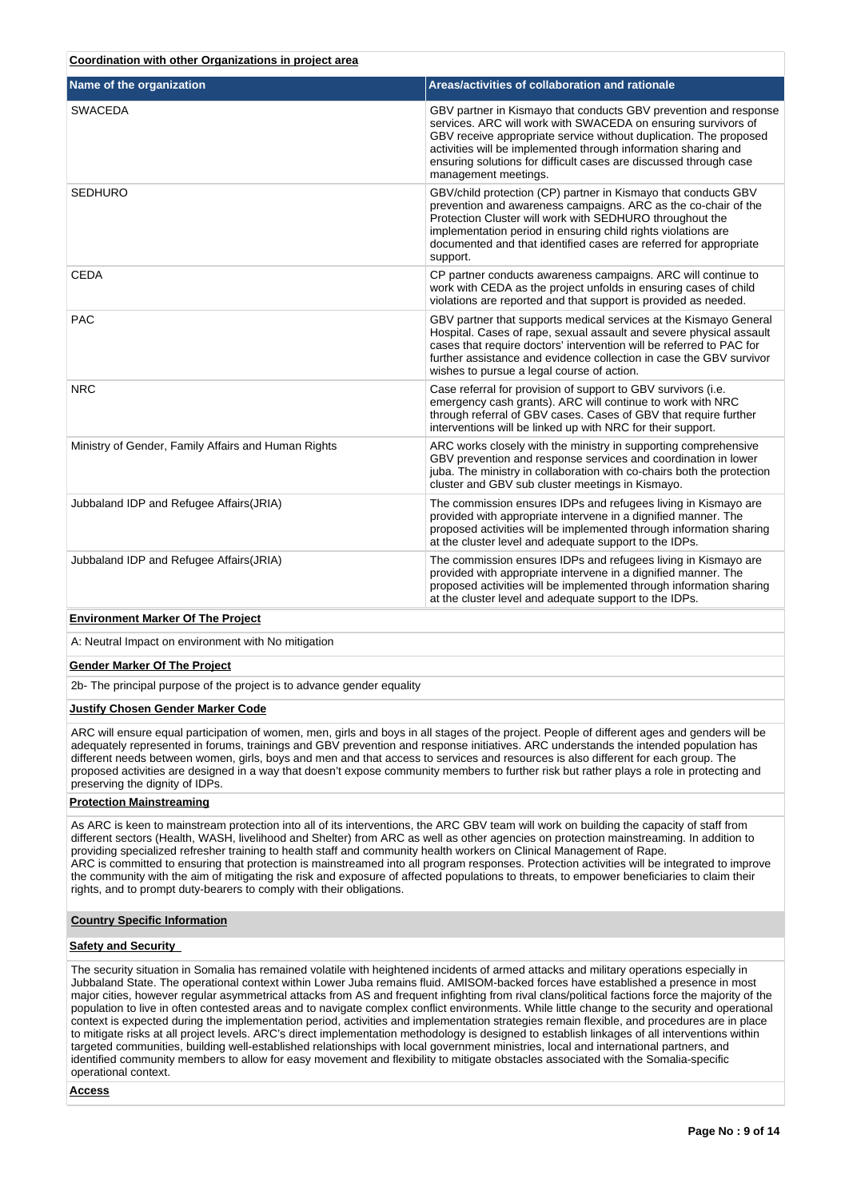| Coordination with other Organizations in project area |  |  |  |
|-------------------------------------------------------|--|--|--|
|                                                       |  |  |  |

| Name of the organization                            | Areas/activities of collaboration and rationale                                                                                                                                                                                                                                                                                                                       |
|-----------------------------------------------------|-----------------------------------------------------------------------------------------------------------------------------------------------------------------------------------------------------------------------------------------------------------------------------------------------------------------------------------------------------------------------|
| <b>SWACEDA</b>                                      | GBV partner in Kismayo that conducts GBV prevention and response<br>services. ARC will work with SWACEDA on ensuring survivors of<br>GBV receive appropriate service without duplication. The proposed<br>activities will be implemented through information sharing and<br>ensuring solutions for difficult cases are discussed through case<br>management meetings. |
| <b>SEDHURO</b>                                      | GBV/child protection (CP) partner in Kismayo that conducts GBV<br>prevention and awareness campaigns. ARC as the co-chair of the<br>Protection Cluster will work with SEDHURO throughout the<br>implementation period in ensuring child rights violations are<br>documented and that identified cases are referred for appropriate<br>support.                        |
| <b>CEDA</b>                                         | CP partner conducts awareness campaigns. ARC will continue to<br>work with CEDA as the project unfolds in ensuring cases of child<br>violations are reported and that support is provided as needed.                                                                                                                                                                  |
| <b>PAC</b>                                          | GBV partner that supports medical services at the Kismayo General<br>Hospital. Cases of rape, sexual assault and severe physical assault<br>cases that require doctors' intervention will be referred to PAC for<br>further assistance and evidence collection in case the GBV survivor<br>wishes to pursue a legal course of action.                                 |
| <b>NRC</b>                                          | Case referral for provision of support to GBV survivors (i.e.<br>emergency cash grants). ARC will continue to work with NRC<br>through referral of GBV cases. Cases of GBV that require further<br>interventions will be linked up with NRC for their support.                                                                                                        |
| Ministry of Gender, Family Affairs and Human Rights | ARC works closely with the ministry in supporting comprehensive<br>GBV prevention and response services and coordination in lower<br>juba. The ministry in collaboration with co-chairs both the protection<br>cluster and GBV sub cluster meetings in Kismayo.                                                                                                       |
| Jubbaland IDP and Refugee Affairs (JRIA)            | The commission ensures IDPs and refugees living in Kismayo are<br>provided with appropriate intervene in a dignified manner. The<br>proposed activities will be implemented through information sharing<br>at the cluster level and adequate support to the IDPs.                                                                                                     |
| Jubbaland IDP and Refugee Affairs (JRIA)            | The commission ensures IDPs and refugees living in Kismayo are<br>provided with appropriate intervene in a dignified manner. The<br>proposed activities will be implemented through information sharing<br>at the cluster level and adequate support to the IDPs.                                                                                                     |

# **Environment Marker Of The Project**

A: Neutral Impact on environment with No mitigation

# **Gender Marker Of The Project**

2b- The principal purpose of the project is to advance gender equality

### **Justify Chosen Gender Marker Code**

ARC will ensure equal participation of women, men, girls and boys in all stages of the project. People of different ages and genders will be adequately represented in forums, trainings and GBV prevention and response initiatives. ARC understands the intended population has different needs between women, girls, boys and men and that access to services and resources is also different for each group. The proposed activities are designed in a way that doesn't expose community members to further risk but rather plays a role in protecting and preserving the dignity of IDPs.

# **Protection Mainstreaming**

As ARC is keen to mainstream protection into all of its interventions, the ARC GBV team will work on building the capacity of staff from different sectors (Health, WASH, livelihood and Shelter) from ARC as well as other agencies on protection mainstreaming. In addition to providing specialized refresher training to health staff and community health workers on Clinical Management of Rape. ARC is committed to ensuring that protection is mainstreamed into all program responses. Protection activities will be integrated to improve the community with the aim of mitigating the risk and exposure of affected populations to threats, to empower beneficiaries to claim their rights, and to prompt duty-bearers to comply with their obligations.

#### **Country Specific Information**

### **Safety and Security**

The security situation in Somalia has remained volatile with heightened incidents of armed attacks and military operations especially in Jubbaland State. The operational context within Lower Juba remains fluid. AMISOM-backed forces have established a presence in most major cities, however regular asymmetrical attacks from AS and frequent infighting from rival clans/political factions force the majority of the population to live in often contested areas and to navigate complex conflict environments. While little change to the security and operational context is expected during the implementation period, activities and implementation strategies remain flexible, and procedures are in place to mitigate risks at all project levels. ARC's direct implementation methodology is designed to establish linkages of all interventions within targeted communities, building well-established relationships with local government ministries, local and international partners, and identified community members to allow for easy movement and flexibility to mitigate obstacles associated with the Somalia-specific operational context.

**Access**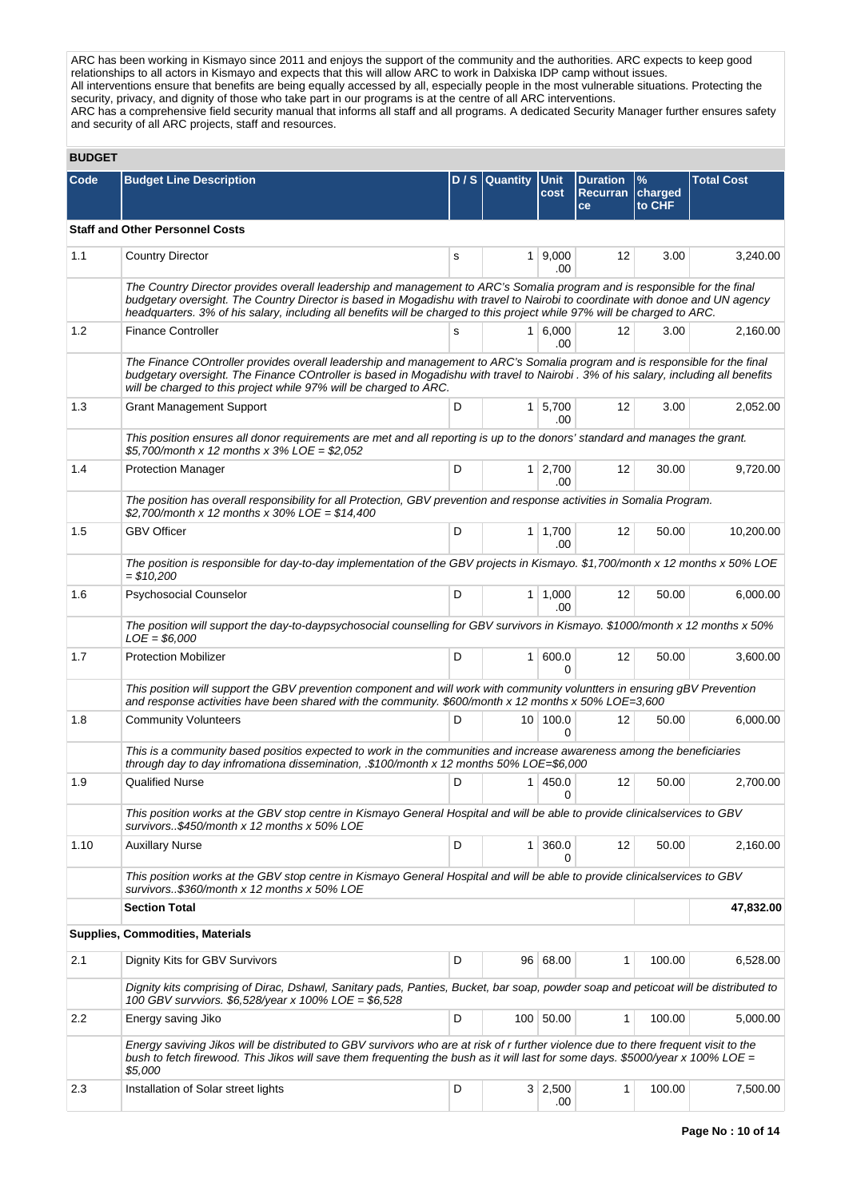ARC has been working in Kismayo since 2011 and enjoys the support of the community and the authorities. ARC expects to keep good relationships to all actors in Kismayo and expects that this will allow ARC to work in Dalxiska IDP camp without issues. All interventions ensure that benefits are being equally accessed by all, especially people in the most vulnerable situations. Protecting the security, privacy, and dignity of those who take part in our programs is at the centre of all ARC interventions. ARC has a comprehensive field security manual that informs all staff and all programs. A dedicated Security Manager further ensures safety and security of all ARC projects, staff and resources.

# **BUDGET**

| Code | <b>Budget Line Description</b>                                                                                                                                                                                                                                                                                                                                                         |   | D / S Quantity Unit | cost                  | <b>Duration</b><br>Recurran charged<br>ce | $\frac{9}{6}$<br>to CHF | <b>Total Cost</b> |  |
|------|----------------------------------------------------------------------------------------------------------------------------------------------------------------------------------------------------------------------------------------------------------------------------------------------------------------------------------------------------------------------------------------|---|---------------------|-----------------------|-------------------------------------------|-------------------------|-------------------|--|
|      | <b>Staff and Other Personnel Costs</b>                                                                                                                                                                                                                                                                                                                                                 |   |                     |                       |                                           |                         |                   |  |
| 1.1  | <b>Country Director</b>                                                                                                                                                                                                                                                                                                                                                                | s |                     | $1 \, 9,000$<br>.00   | 12                                        | 3.00                    | 3,240.00          |  |
|      | The Country Director provides overall leadership and management to ARC's Somalia program and is responsible for the final<br>budgetary oversight. The Country Director is based in Mogadishu with travel to Nairobi to coordinate with donoe and UN agency<br>headquarters. 3% of his salary, including all benefits will be charged to this project while 97% will be charged to ARC. |   |                     |                       |                                           |                         |                   |  |
| 1.2  | <b>Finance Controller</b>                                                                                                                                                                                                                                                                                                                                                              | s |                     | $1 \, 6,000$<br>.00   | 12                                        | 3.00                    | 2,160.00          |  |
|      | The Finance COntroller provides overall leadership and management to ARC's Somalia program and is responsible for the final<br>budgetary oversight. The Finance COntroller is based in Mogadishu with travel to Nairobi . 3% of his salary, including all benefits<br>will be charged to this project while 97% will be charged to ARC.                                                |   |                     |                       |                                           |                         |                   |  |
| 1.3  | <b>Grant Management Support</b>                                                                                                                                                                                                                                                                                                                                                        | D |                     | $1 \mid 5,700$<br>.00 | 12                                        | 3.00                    | 2,052.00          |  |
|      | This position ensures all donor requirements are met and all reporting is up to the donors' standard and manages the grant.<br>\$5.700/month x 12 months x 3% LOE = \$2.052                                                                                                                                                                                                            |   |                     |                       |                                           |                         |                   |  |
| 1.4  | <b>Protection Manager</b>                                                                                                                                                                                                                                                                                                                                                              | D |                     | $1 \mid 2,700$<br>.00 | 12                                        | 30.00                   | 9,720.00          |  |
|      | The position has overall responsibility for all Protection, GBV prevention and response activities in Somalia Program.<br>\$2,700/month x 12 months x 30% LOE = \$14,400                                                                                                                                                                                                               |   |                     |                       |                                           |                         |                   |  |
| 1.5  | <b>GBV Officer</b>                                                                                                                                                                                                                                                                                                                                                                     | D |                     | $1 \mid 1,700$<br>.00 | 12                                        | 50.00                   | 10,200.00         |  |
|      | The position is responsible for day-to-day implementation of the GBV projects in Kismayo. \$1,700/month x 12 months x 50% LOE<br>\$10,200                                                                                                                                                                                                                                              |   |                     |                       |                                           |                         |                   |  |
| 1.6  | Psychosocial Counselor                                                                                                                                                                                                                                                                                                                                                                 | D |                     | $1 \mid 1,000$<br>.00 | 12                                        | 50.00                   | 6,000.00          |  |
|      | The position will support the day-to-daypsychosocial counselling for GBV survivors in Kismayo. \$1000/month x 12 months x 50%<br>$LOE = $6,000$                                                                                                                                                                                                                                        |   |                     |                       |                                           |                         |                   |  |
| 1.7  | <b>Protection Mobilizer</b>                                                                                                                                                                                                                                                                                                                                                            | D |                     | 1 600.0<br>$\Omega$   | 12                                        | 50.00                   | 3,600.00          |  |
|      | This position will support the GBV prevention component and will work with community voluntters in ensuring gBV Prevention<br>and response activities have been shared with the community. \$600/month x 12 months x 50% LOE=3,600                                                                                                                                                     |   |                     |                       |                                           |                         |                   |  |
| 1.8  | <b>Community Volunteers</b>                                                                                                                                                                                                                                                                                                                                                            | D |                     | 10 100.0<br>0         | 12                                        | 50.00                   | 6,000.00          |  |
|      | This is a community based positios expected to work in the communities and increase awareness among the beneficiaries<br>through day to day infromationa dissemination, .\$100/month x 12 months $50\%$ LOE=\$6,000                                                                                                                                                                    |   |                     |                       |                                           |                         |                   |  |
| 1.9  | <b>Qualified Nurse</b>                                                                                                                                                                                                                                                                                                                                                                 | D |                     | 1 450.0<br>0          | 12                                        | 50.00                   | 2,700.00          |  |
|      | This position works at the GBV stop centre in Kismayo General Hospital and will be able to provide clinicalservices to GBV<br>survivors\$450/month x 12 months x 50% LOE                                                                                                                                                                                                               |   |                     |                       |                                           |                         |                   |  |
| 1.10 | Auxillary Nurse                                                                                                                                                                                                                                                                                                                                                                        | D |                     | 1 360.0<br>0          | 12                                        | 50.00                   | 2,160.00          |  |
|      | This position works at the GBV stop centre in Kismayo General Hospital and will be able to provide clinicalservices to GBV<br>survivors\$360/month x 12 months x 50% LOE                                                                                                                                                                                                               |   |                     |                       |                                           |                         |                   |  |
|      | <b>Section Total</b>                                                                                                                                                                                                                                                                                                                                                                   |   |                     |                       |                                           |                         | 47,832.00         |  |
|      | <b>Supplies, Commodities, Materials</b>                                                                                                                                                                                                                                                                                                                                                |   |                     |                       |                                           |                         |                   |  |
| 2.1  | Dignity Kits for GBV Survivors                                                                                                                                                                                                                                                                                                                                                         | D |                     | 96 68.00              | 1                                         | 100.00                  | 6,528.00          |  |
|      | Dignity kits comprising of Dirac, Dshawl, Sanitary pads, Panties, Bucket, bar soap, powder soap and peticoat will be distributed to<br>100 GBV survviors. \$6,528/year x 100% LOE = \$6,528                                                                                                                                                                                            |   |                     |                       |                                           |                         |                   |  |
| 2.2  | Energy saving Jiko                                                                                                                                                                                                                                                                                                                                                                     | D |                     | 100 50.00             | 1                                         | 100.00                  | 5,000.00          |  |
|      | Energy saviving Jikos will be distributed to GBV survivors who are at risk of r further violence due to there frequent visit to the<br>bush to fetch firewood. This Jikos will save them frequenting the bush as it will last for some days. \$5000/year x 100% LOE =<br>\$5,000                                                                                                       |   |                     |                       |                                           |                         |                   |  |
| 2.3  | Installation of Solar street lights                                                                                                                                                                                                                                                                                                                                                    | D |                     | $3 \mid 2,500$<br>.00 | 1                                         | 100.00                  | 7,500.00          |  |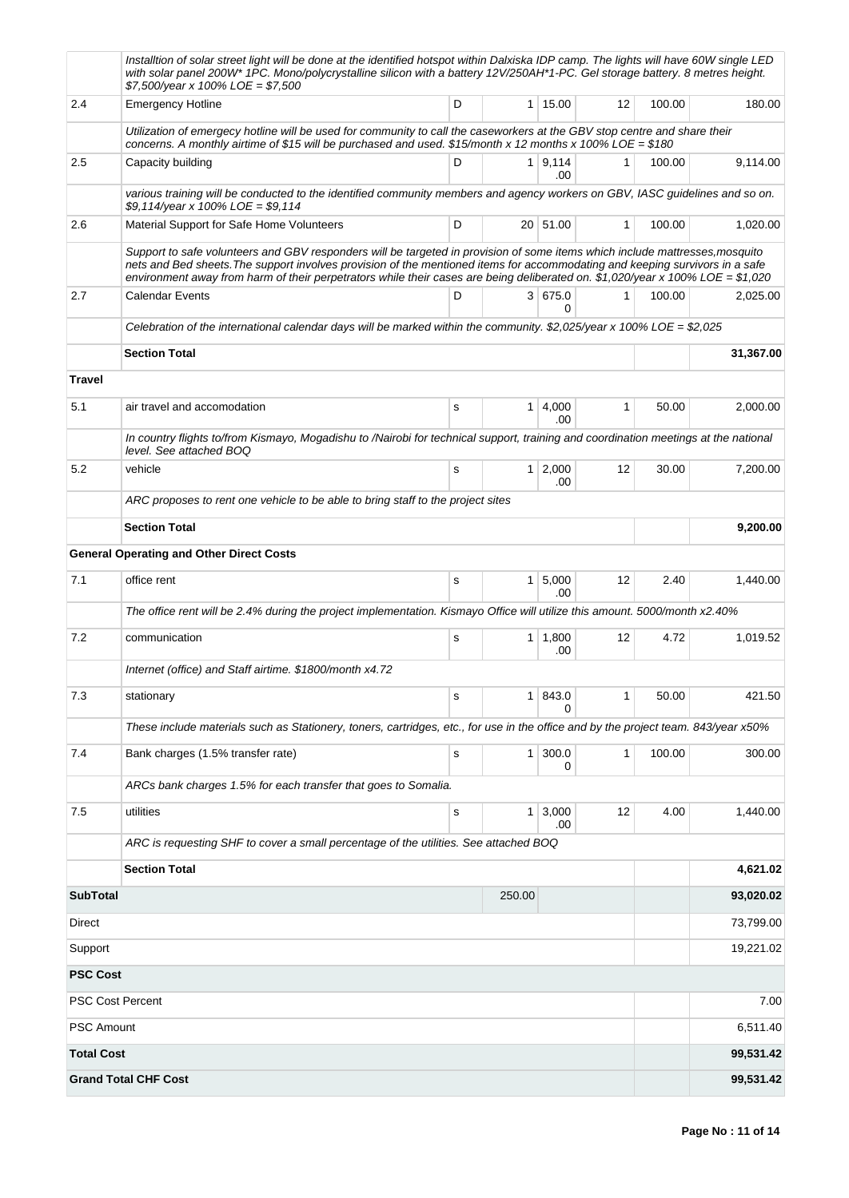|                   | Installtion of solar street light will be done at the identified hotspot within Dalxiska IDP camp. The lights will have 60W single LED<br>with solar panel 200W* 1PC. Mono/polycrystalline silicon with a battery 12V/250AH*1-PC. Gel storage battery. 8 metres height.<br>$$7,500/year \times 100\%$ LOE = \$7,500                                                                            |           |                |                       |    |        |           |
|-------------------|------------------------------------------------------------------------------------------------------------------------------------------------------------------------------------------------------------------------------------------------------------------------------------------------------------------------------------------------------------------------------------------------|-----------|----------------|-----------------------|----|--------|-----------|
| 2.4               | <b>Emergency Hotline</b>                                                                                                                                                                                                                                                                                                                                                                       | D         |                | 1 15.00               | 12 | 100.00 | 180.00    |
|                   | Utilization of emergecy hotline will be used for community to call the caseworkers at the GBV stop centre and share their<br>concerns. A monthly airtime of \$15 will be purchased and used. \$15/month x 12 months x 100% LOE = \$180                                                                                                                                                         |           |                |                       |    |        |           |
| 2.5               | Capacity building                                                                                                                                                                                                                                                                                                                                                                              | D         |                | $1 \ 9.114$<br>.00    | 1  | 100.00 | 9,114.00  |
|                   | various training will be conducted to the identified community members and agency workers on GBV, IASC quidelines and so on.<br>\$9,114/year x 100% LOE = \$9,114                                                                                                                                                                                                                              |           |                |                       |    |        |           |
| 2.6               | Material Support for Safe Home Volunteers                                                                                                                                                                                                                                                                                                                                                      | D         |                | 20 51.00              | 1  | 100.00 | 1,020.00  |
|                   | Support to safe volunteers and GBV responders will be targeted in provision of some items which include mattresses, mosquito<br>nets and Bed sheets. The support involves provision of the mentioned items for accommodating and keeping survivors in a safe<br>environment away from harm of their perpetrators while their cases are being deliberated on. \$1,020/year x 100% LOE = \$1,020 |           |                |                       |    |        |           |
| 2.7               | <b>Calendar Events</b>                                                                                                                                                                                                                                                                                                                                                                         | D         |                | 3 675.0<br>0          | 1  | 100.00 | 2,025.00  |
|                   | Celebration of the international calendar days will be marked within the community. \$2,025/year x 100% LOE = \$2,025                                                                                                                                                                                                                                                                          |           |                |                       |    |        |           |
|                   | <b>Section Total</b>                                                                                                                                                                                                                                                                                                                                                                           |           |                |                       |    |        | 31,367.00 |
| <b>Travel</b>     |                                                                                                                                                                                                                                                                                                                                                                                                |           |                |                       |    |        |           |
| 5.1               | air travel and accomodation                                                                                                                                                                                                                                                                                                                                                                    | s         | 1 <sup>1</sup> | 4,000<br>.00          | 1  | 50.00  | 2,000.00  |
|                   | In country flights to/from Kismayo, Mogadishu to /Nairobi for technical support, training and coordination meetings at the national<br>level. See attached BOQ                                                                                                                                                                                                                                 |           |                |                       |    |        |           |
| 5.2               | vehicle                                                                                                                                                                                                                                                                                                                                                                                        | s         |                | $1 \mid 2,000$<br>.00 | 12 | 30.00  | 7,200.00  |
|                   | ARC proposes to rent one vehicle to be able to bring staff to the project sites                                                                                                                                                                                                                                                                                                                |           |                |                       |    |        |           |
|                   | <b>Section Total</b>                                                                                                                                                                                                                                                                                                                                                                           |           |                |                       |    |        | 9,200.00  |
|                   | <b>General Operating and Other Direct Costs</b>                                                                                                                                                                                                                                                                                                                                                |           |                |                       |    |        |           |
| 7.1               | office rent                                                                                                                                                                                                                                                                                                                                                                                    | s         |                | $1 \mid 5,000$<br>.00 | 12 | 2.40   | 1,440.00  |
|                   | The office rent will be 2.4% during the project implementation. Kismayo Office will utilize this amount. 5000/month x2.40%                                                                                                                                                                                                                                                                     |           |                |                       |    |        |           |
| 7.2               | communication                                                                                                                                                                                                                                                                                                                                                                                  | s         |                | $1 \mid 1,800$<br>.00 | 12 | 4.72   | 1,019.52  |
|                   | Internet (office) and Staff airtime. \$1800/month x4.72                                                                                                                                                                                                                                                                                                                                        |           |                |                       |    |        |           |
| 7.3               | stationary                                                                                                                                                                                                                                                                                                                                                                                     | s         |                | 1 843.0<br>0          | 1  | 50.00  | 421.50    |
|                   | These include materials such as Stationery, toners, cartridges, etc., for use in the office and by the project team. 843/year x50%                                                                                                                                                                                                                                                             |           |                |                       |    |        |           |
| 7.4               | Bank charges (1.5% transfer rate)                                                                                                                                                                                                                                                                                                                                                              | s         | 1 <sup>1</sup> | 300.0<br>0            | 1  | 100.00 | 300.00    |
|                   | ARCs bank charges 1.5% for each transfer that goes to Somalia.                                                                                                                                                                                                                                                                                                                                 |           |                |                       |    |        |           |
| 7.5               | utilities                                                                                                                                                                                                                                                                                                                                                                                      | ${\tt S}$ |                | $1 \mid 3,000$<br>.00 | 12 | 4.00   | 1,440.00  |
|                   | ARC is requesting SHF to cover a small percentage of the utilities. See attached BOQ                                                                                                                                                                                                                                                                                                           |           |                |                       |    |        |           |
|                   | <b>Section Total</b>                                                                                                                                                                                                                                                                                                                                                                           |           |                |                       |    |        | 4,621.02  |
| <b>SubTotal</b>   |                                                                                                                                                                                                                                                                                                                                                                                                |           | 250.00         |                       |    |        | 93,020.02 |
| <b>Direct</b>     |                                                                                                                                                                                                                                                                                                                                                                                                |           |                |                       |    |        | 73,799.00 |
| Support           |                                                                                                                                                                                                                                                                                                                                                                                                |           |                |                       |    |        | 19,221.02 |
| <b>PSC Cost</b>   |                                                                                                                                                                                                                                                                                                                                                                                                |           |                |                       |    |        |           |
|                   | <b>PSC Cost Percent</b>                                                                                                                                                                                                                                                                                                                                                                        |           |                |                       |    |        | 7.00      |
| <b>PSC Amount</b> |                                                                                                                                                                                                                                                                                                                                                                                                |           |                |                       |    |        | 6,511.40  |
| <b>Total Cost</b> |                                                                                                                                                                                                                                                                                                                                                                                                |           |                |                       |    |        | 99,531.42 |
|                   | <b>Grand Total CHF Cost</b>                                                                                                                                                                                                                                                                                                                                                                    |           |                |                       |    |        | 99,531.42 |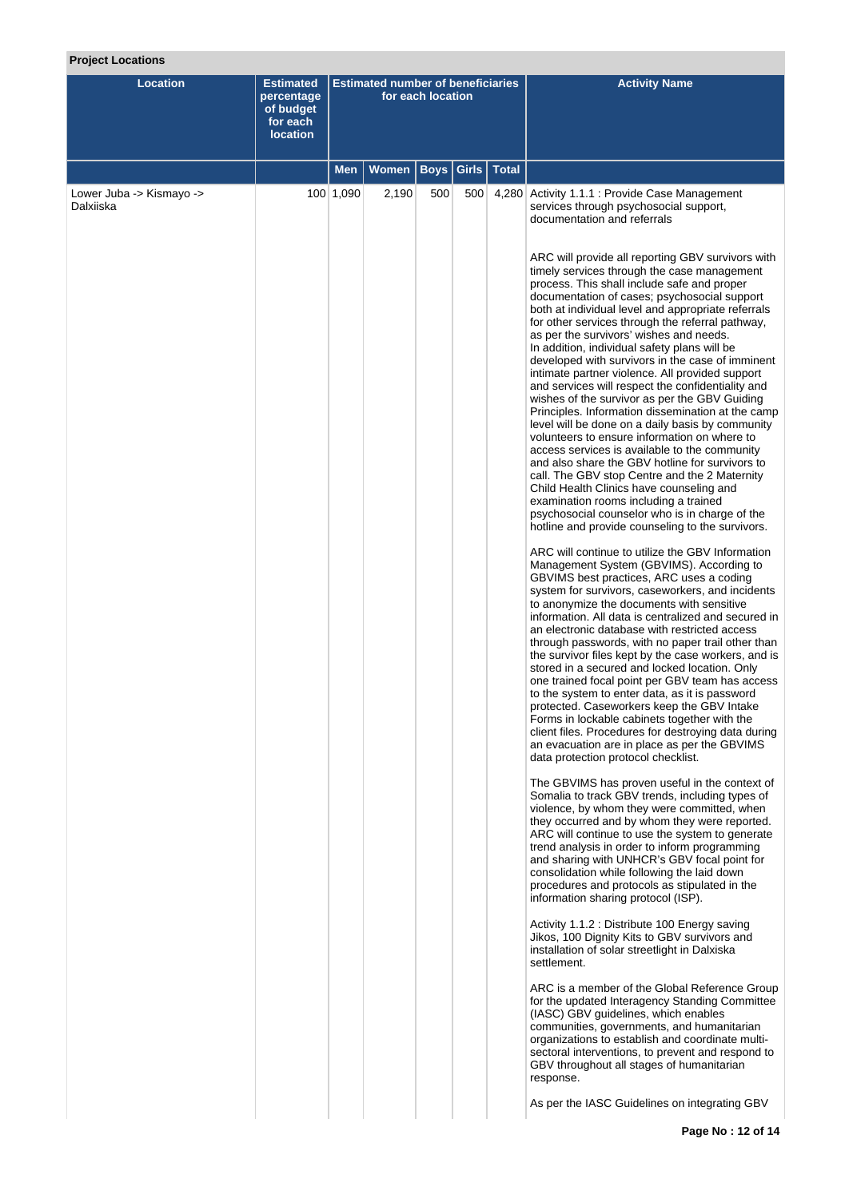# **Project Locations**

| <b>Location</b>                       | Estimated<br>percentage<br>of budget<br>for each<br><b>location</b> | <b>Estimated number of beneficiaries</b><br>for each location |              |             |       |              | <b>Activity Name</b>                                                                                                                                                                                                                                                                                                                                                                                                                                                                                                                                                                                                                                                                                                                                                                                                                                                                                                                                                                                                                                                                                                                                                                              |
|---------------------------------------|---------------------------------------------------------------------|---------------------------------------------------------------|--------------|-------------|-------|--------------|---------------------------------------------------------------------------------------------------------------------------------------------------------------------------------------------------------------------------------------------------------------------------------------------------------------------------------------------------------------------------------------------------------------------------------------------------------------------------------------------------------------------------------------------------------------------------------------------------------------------------------------------------------------------------------------------------------------------------------------------------------------------------------------------------------------------------------------------------------------------------------------------------------------------------------------------------------------------------------------------------------------------------------------------------------------------------------------------------------------------------------------------------------------------------------------------------|
|                                       |                                                                     | <b>Men</b>                                                    | <b>Women</b> | <b>Boys</b> | Girls | <b>Total</b> |                                                                                                                                                                                                                                                                                                                                                                                                                                                                                                                                                                                                                                                                                                                                                                                                                                                                                                                                                                                                                                                                                                                                                                                                   |
| Lower Juba -> Kismayo -><br>Dalxiiska |                                                                     | 100 1,090                                                     | 2,190        | 500         | 500   |              | 4,280 Activity 1.1.1 : Provide Case Management<br>services through psychosocial support,<br>documentation and referrals<br>ARC will provide all reporting GBV survivors with<br>timely services through the case management<br>process. This shall include safe and proper<br>documentation of cases; psychosocial support<br>both at individual level and appropriate referrals<br>for other services through the referral pathway,<br>as per the survivors' wishes and needs.<br>In addition, individual safety plans will be<br>developed with survivors in the case of imminent<br>intimate partner violence. All provided support<br>and services will respect the confidentiality and<br>wishes of the survivor as per the GBV Guiding<br>Principles. Information dissemination at the camp<br>level will be done on a daily basis by community<br>volunteers to ensure information on where to<br>access services is available to the community<br>and also share the GBV hotline for survivors to<br>call. The GBV stop Centre and the 2 Maternity<br>Child Health Clinics have counseling and<br>examination rooms including a trained<br>psychosocial counselor who is in charge of the |
|                                       |                                                                     |                                                               |              |             |       |              | hotline and provide counseling to the survivors.<br>ARC will continue to utilize the GBV Information<br>Management System (GBVIMS). According to<br>GBVIMS best practices, ARC uses a coding<br>system for survivors, caseworkers, and incidents<br>to anonymize the documents with sensitive<br>information. All data is centralized and secured in<br>an electronic database with restricted access<br>through passwords, with no paper trail other than<br>the survivor files kept by the case workers, and is<br>stored in a secured and locked location. Only<br>one trained focal point per GBV team has access<br>to the system to enter data, as it is password<br>protected. Caseworkers keep the GBV Intake<br>Forms in lockable cabinets together with the<br>client files. Procedures for destroying data during<br>an evacuation are in place as per the GBVIMS<br>data protection protocol checklist.                                                                                                                                                                                                                                                                               |
|                                       |                                                                     |                                                               |              |             |       |              | The GBVIMS has proven useful in the context of<br>Somalia to track GBV trends, including types of<br>violence, by whom they were committed, when<br>they occurred and by whom they were reported.<br>ARC will continue to use the system to generate<br>trend analysis in order to inform programming<br>and sharing with UNHCR's GBV focal point for<br>consolidation while following the laid down<br>procedures and protocols as stipulated in the<br>information sharing protocol (ISP).                                                                                                                                                                                                                                                                                                                                                                                                                                                                                                                                                                                                                                                                                                      |
|                                       |                                                                     |                                                               |              |             |       |              | Activity 1.1.2 : Distribute 100 Energy saving<br>Jikos, 100 Dignity Kits to GBV survivors and<br>installation of solar streetlight in Dalxiska<br>settlement.                                                                                                                                                                                                                                                                                                                                                                                                                                                                                                                                                                                                                                                                                                                                                                                                                                                                                                                                                                                                                                     |
|                                       |                                                                     |                                                               |              |             |       |              | ARC is a member of the Global Reference Group<br>for the updated Interagency Standing Committee<br>(IASC) GBV guidelines, which enables<br>communities, governments, and humanitarian<br>organizations to establish and coordinate multi-<br>sectoral interventions, to prevent and respond to<br>GBV throughout all stages of humanitarian<br>response.                                                                                                                                                                                                                                                                                                                                                                                                                                                                                                                                                                                                                                                                                                                                                                                                                                          |
|                                       |                                                                     |                                                               |              |             |       |              | As per the IASC Guidelines on integrating GBV                                                                                                                                                                                                                                                                                                                                                                                                                                                                                                                                                                                                                                                                                                                                                                                                                                                                                                                                                                                                                                                                                                                                                     |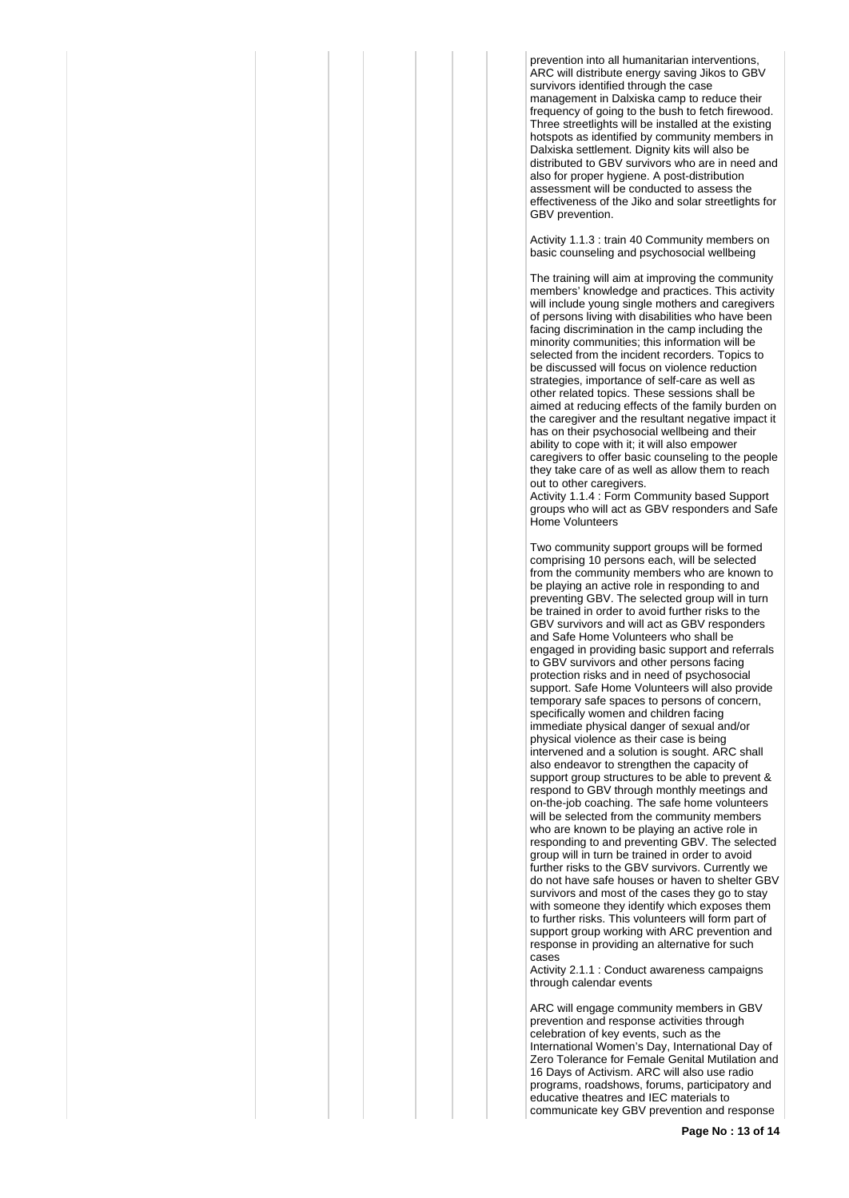prevention into all humanitarian interventions, ARC will distribute energy saving Jikos to GBV survivors identified through the case management in Dalxiska camp to reduce their frequency of going to the bush to fetch firewood. Three streetlights will be installed at the existing hotspots as identified by community members in Dalxiska settlement. Dignity kits will also be distributed to GBV survivors who are in need and also for proper hygiene. A post-distribution assessment will be conducted to assess the effectiveness of the Jiko and solar streetlights for GBV prevention.

Activity 1.1.3 : train 40 Community members on basic counseling and psychosocial wellbeing

The training will aim at improving the community members' knowledge and practices. This activity will include young single mothers and caregivers of persons living with disabilities who have been facing discrimination in the camp including the minority communities; this information will be selected from the incident recorders. Topics to be discussed will focus on violence reduction strategies, importance of self-care as well as other related topics. These sessions shall be aimed at reducing effects of the family burden on the caregiver and the resultant negative impact it has on their psychosocial wellbeing and their ability to cope with it; it will also empower caregivers to offer basic counseling to the people they take care of as well as allow them to reach out to other caregivers.

Activity 1.1.4 : Form Community based Support groups who will act as GBV responders and Safe Home Volunteers

Two community support groups will be formed comprising 10 persons each, will be selected from the community members who are known to be playing an active role in responding to and preventing GBV. The selected group will in turn be trained in order to avoid further risks to the GBV survivors and will act as GBV responders and Safe Home Volunteers who shall be engaged in providing basic support and referrals to GBV survivors and other persons facing protection risks and in need of psychosocial support. Safe Home Volunteers will also provide temporary safe spaces to persons of concern, specifically women and children facing immediate physical danger of sexual and/or physical violence as their case is being intervened and a solution is sought. ARC shall also endeavor to strengthen the capacity of support group structures to be able to prevent & respond to GBV through monthly meetings and on-the-job coaching. The safe home volunteers will be selected from the community members who are known to be playing an active role in responding to and preventing GBV. The selected group will in turn be trained in order to avoid further risks to the GBV survivors. Currently we do not have safe houses or haven to shelter GBV survivors and most of the cases they go to stay with someone they identify which exposes them to further risks. This volunteers will form part of support group working with ARC prevention and response in providing an alternative for such cases

Activity 2.1.1 : Conduct awareness campaigns through calendar events

ARC will engage community members in GBV prevention and response activities through celebration of key events, such as the International Women's Day, International Day of Zero Tolerance for Female Genital Mutilation and 16 Days of Activism. ARC will also use radio programs, roadshows, forums, participatory and educative theatres and IEC materials to communicate key GBV prevention and response